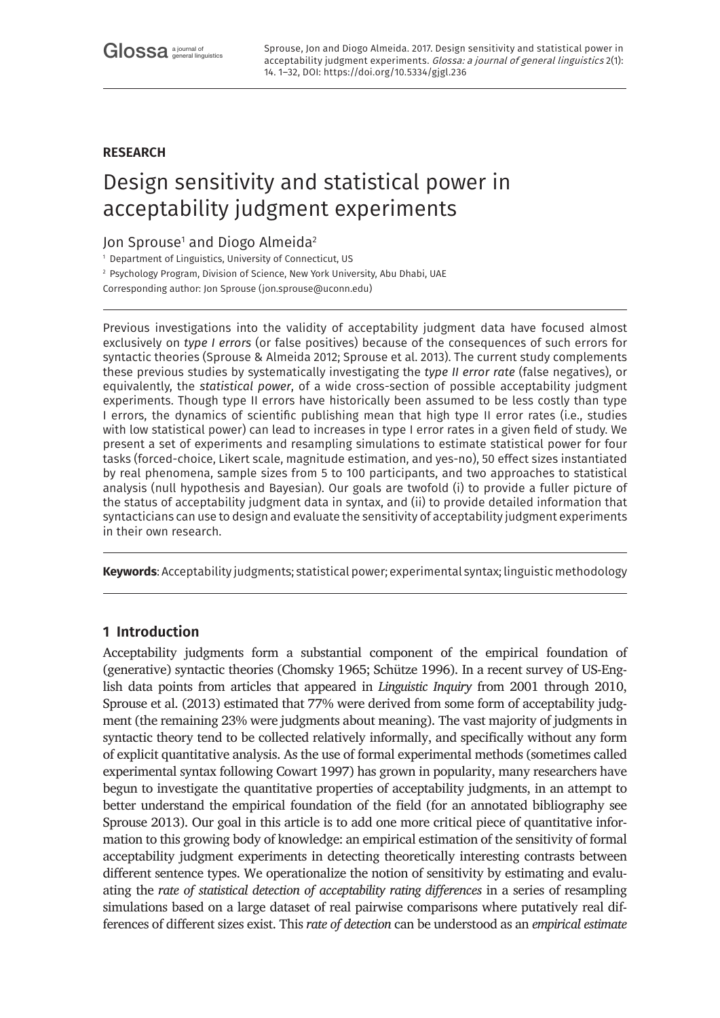# **RESEARCH**

# Design sensitivity and statistical power in acceptability judgment experiments

# Jon Sprouse<sup>1</sup> and Diogo Almeida<sup>2</sup>

<sup>1</sup> Department of Linguistics, University of Connecticut, US

<sup>2</sup> Psychology Program, Division of Science, New York University, Abu Dhabi, UAE

Corresponding author: Jon Sprouse ([jon.sprouse@uconn.edu](mailto:jon.sprouse@uconn.edu))

Previous investigations into the validity of acceptability judgment data have focused almost exclusively on *type I errors* (or false positives) because of the consequences of such errors for syntactic theories (Sprouse & Almeida 2012; Sprouse et al. 2013). The current study complements these previous studies by systematically investigating the *type II error rate* (false negatives), or equivalently, the *statistical power*, of a wide cross-section of possible acceptability judgment experiments. Though type II errors have historically been assumed to be less costly than type I errors, the dynamics of scientific publishing mean that high type II error rates (i.e., studies with low statistical power) can lead to increases in type I error rates in a given field of study. We present a set of experiments and resampling simulations to estimate statistical power for four tasks (forced-choice, Likert scale, magnitude estimation, and yes-no), 50 effect sizes instantiated by real phenomena, sample sizes from 5 to 100 participants, and two approaches to statistical analysis (null hypothesis and Bayesian). Our goals are twofold (i) to provide a fuller picture of the status of acceptability judgment data in syntax, and (ii) to provide detailed information that syntacticians can use to design and evaluate the sensitivity of acceptability judgment experiments in their own research.

**Keywords**: Acceptability judgments; statistical power; experimental syntax; linguistic methodology

# **1 Introduction**

Acceptability judgments form a substantial component of the empirical foundation of (generative) syntactic theories (Chomsky 1965; Schütze 1996). In a recent survey of US-English data points from articles that appeared in *Linguistic Inquiry* from 2001 through 2010, Sprouse et al. (2013) estimated that 77% were derived from some form of acceptability judgment (the remaining 23% were judgments about meaning). The vast majority of judgments in syntactic theory tend to be collected relatively informally, and specifically without any form of explicit quantitative analysis. As the use of formal experimental methods (sometimes called experimental syntax following Cowart 1997) has grown in popularity, many researchers have begun to investigate the quantitative properties of acceptability judgments, in an attempt to better understand the empirical foundation of the field (for an annotated bibliography see Sprouse 2013). Our goal in this article is to add one more critical piece of quantitative information to this growing body of knowledge: an empirical estimation of the sensitivity of formal acceptability judgment experiments in detecting theoretically interesting contrasts between different sentence types. We operationalize the notion of sensitivity by estimating and evaluating the *rate of statistical detection of acceptability rating differences* in a series of resampling simulations based on a large dataset of real pairwise comparisons where putatively real differences of different sizes exist. This *rate of detection* can be understood as an *empirical estimate*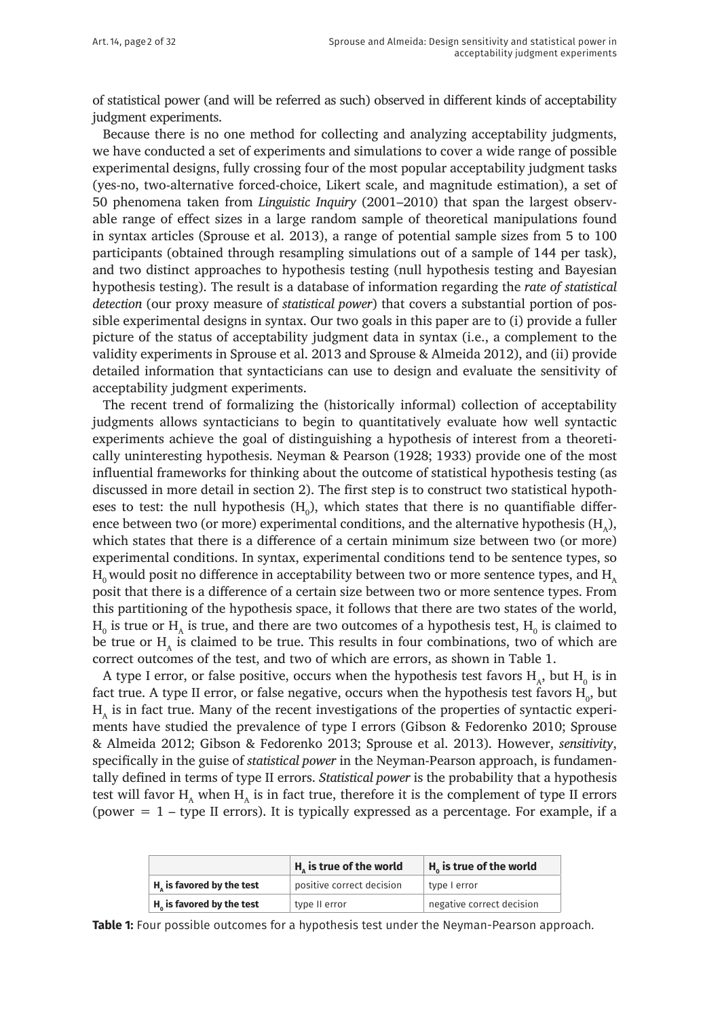of statistical power (and will be referred as such) observed in different kinds of acceptability judgment experiments.

Because there is no one method for collecting and analyzing acceptability judgments, we have conducted a set of experiments and simulations to cover a wide range of possible experimental designs, fully crossing four of the most popular acceptability judgment tasks (yes-no, two-alternative forced-choice, Likert scale, and magnitude estimation), a set of 50 phenomena taken from *Linguistic Inquiry* (2001–2010) that span the largest observable range of effect sizes in a large random sample of theoretical manipulations found in syntax articles (Sprouse et al. 2013), a range of potential sample sizes from 5 to 100 participants (obtained through resampling simulations out of a sample of 144 per task), and two distinct approaches to hypothesis testing (null hypothesis testing and Bayesian hypothesis testing). The result is a database of information regarding the *rate of statistical detection* (our proxy measure of *statistical power*) that covers a substantial portion of possible experimental designs in syntax. Our two goals in this paper are to (i) provide a fuller picture of the status of acceptability judgment data in syntax (i.e., a complement to the validity experiments in Sprouse et al. 2013 and Sprouse & Almeida 2012), and (ii) provide detailed information that syntacticians can use to design and evaluate the sensitivity of acceptability judgment experiments.

The recent trend of formalizing the (historically informal) collection of acceptability judgments allows syntacticians to begin to quantitatively evaluate how well syntactic experiments achieve the goal of distinguishing a hypothesis of interest from a theoretically uninteresting hypothesis. Neyman & Pearson (1928; 1933) provide one of the most influential frameworks for thinking about the outcome of statistical hypothesis testing (as discussed in more detail in section 2). The first step is to construct two statistical hypotheses to test: the null hypothesis  $(\mathrm{H}_{\mathrm{o}})$ , which states that there is no quantifiable difference between two (or more) experimental conditions, and the alternative hypothesis  $(H_1)$ , which states that there is a difference of a certain minimum size between two (or more) experimental conditions. In syntax, experimental conditions tend to be sentence types, so  $H_0$  would posit no difference in acceptability between two or more sentence types, and  $H_0$ posit that there is a difference of a certain size between two or more sentence types. From this partitioning of the hypothesis space, it follows that there are two states of the world,  $H_0$  is true or  $H_A$  is true, and there are two outcomes of a hypothesis test,  $H_0$  is claimed to be true or  $H<sub>1</sub>$  is claimed to be true. This results in four combinations, two of which are correct outcomes of the test, and two of which are errors, as shown in Table 1.

A type I error, or false positive, occurs when the hypothesis test favors  $\mathrm{H}_{\mathrm{A}}$ , but  $\mathrm{H}_{\mathrm{0}}$  is in fact true. A type II error, or false negative, occurs when the hypothesis test favors  ${\rm H_o}$ , but  $H<sub>a</sub>$  is in fact true. Many of the recent investigations of the properties of syntactic experiments have studied the prevalence of type I errors (Gibson & Fedorenko 2010; Sprouse & Almeida 2012; Gibson & Fedorenko 2013; Sprouse et al. 2013). However, *sensitivity*, specifically in the guise of *statistical power* in the Neyman-Pearson approach, is fundamentally defined in terms of type II errors. *Statistical power* is the probability that a hypothesis test will favor  $H_A$  when  $H_A$  is in fact true, therefore it is the complement of type II errors (power  $= 1$  – type II errors). It is typically expressed as a percentage. For example, if a

|                                                       | $Ha$ is true of the world | $H_0$ is true of the world |
|-------------------------------------------------------|---------------------------|----------------------------|
| $H_{\scriptscriptstyle\wedge}$ is favored by the test | positive correct decision | type I error               |
| $Ha$ is favored by the test                           | type II error             | negative correct decision  |

**Table 1:** Four possible outcomes for a hypothesis test under the Neyman-Pearson approach.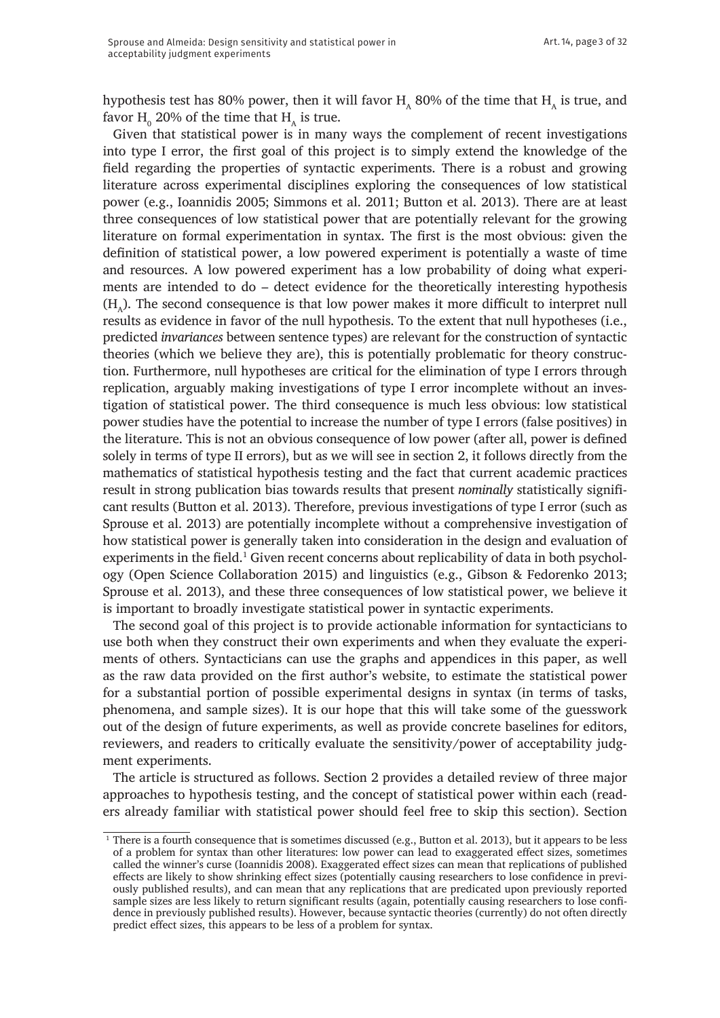hypothesis test has 80% power, then it will favor  $H_a$  80% of the time that  $H_a$  is true, and favor  $\text{H}_{\text{o}}$  20% of the time that  $\text{H}_{\text{A}}$  is true.

Given that statistical power is in many ways the complement of recent investigations into type I error, the first goal of this project is to simply extend the knowledge of the field regarding the properties of syntactic experiments. There is a robust and growing literature across experimental disciplines exploring the consequences of low statistical power (e.g., Ioannidis 2005; Simmons et al. 2011; Button et al. 2013). There are at least three consequences of low statistical power that are potentially relevant for the growing literature on formal experimentation in syntax. The first is the most obvious: given the definition of statistical power, a low powered experiment is potentially a waste of time and resources. A low powered experiment has a low probability of doing what experiments are intended to do – detect evidence for the theoretically interesting hypothesis  $(H<sub>a</sub>)$ . The second consequence is that low power makes it more difficult to interpret null results as evidence in favor of the null hypothesis. To the extent that null hypotheses (i.e., predicted *invariances* between sentence types) are relevant for the construction of syntactic theories (which we believe they are), this is potentially problematic for theory construction. Furthermore, null hypotheses are critical for the elimination of type I errors through replication, arguably making investigations of type I error incomplete without an investigation of statistical power. The third consequence is much less obvious: low statistical power studies have the potential to increase the number of type I errors (false positives) in the literature. This is not an obvious consequence of low power (after all, power is defined solely in terms of type II errors), but as we will see in section 2, it follows directly from the mathematics of statistical hypothesis testing and the fact that current academic practices result in strong publication bias towards results that present *nominally* statistically significant results (Button et al. 2013). Therefore, previous investigations of type I error (such as Sprouse et al. 2013) are potentially incomplete without a comprehensive investigation of how statistical power is generally taken into consideration in the design and evaluation of experiments in the field.<sup>1</sup> Given recent concerns about replicability of data in both psychology (Open Science Collaboration 2015) and linguistics (e.g., Gibson & Fedorenko 2013; Sprouse et al. 2013), and these three consequences of low statistical power, we believe it is important to broadly investigate statistical power in syntactic experiments.

The second goal of this project is to provide actionable information for syntacticians to use both when they construct their own experiments and when they evaluate the experiments of others. Syntacticians can use the graphs and appendices in this paper, as well as the raw data provided on the first author's website, to estimate the statistical power for a substantial portion of possible experimental designs in syntax (in terms of tasks, phenomena, and sample sizes). It is our hope that this will take some of the guesswork out of the design of future experiments, as well as provide concrete baselines for editors, reviewers, and readers to critically evaluate the sensitivity/power of acceptability judgment experiments.

The article is structured as follows. Section 2 provides a detailed review of three major approaches to hypothesis testing, and the concept of statistical power within each (readers already familiar with statistical power should feel free to skip this section). Section

<sup>&</sup>lt;sup>1</sup> There is a fourth consequence that is sometimes discussed (e.g., Button et al. 2013), but it appears to be less of a problem for syntax than other literatures: low power can lead to exaggerated effect sizes, sometimes called the winner's curse (Ioannidis 2008). Exaggerated effect sizes can mean that replications of published effects are likely to show shrinking effect sizes (potentially causing researchers to lose confidence in previously published results), and can mean that any replications that are predicated upon previously reported sample sizes are less likely to return significant results (again, potentially causing researchers to lose confidence in previously published results). However, because syntactic theories (currently) do not often directly predict effect sizes, this appears to be less of a problem for syntax.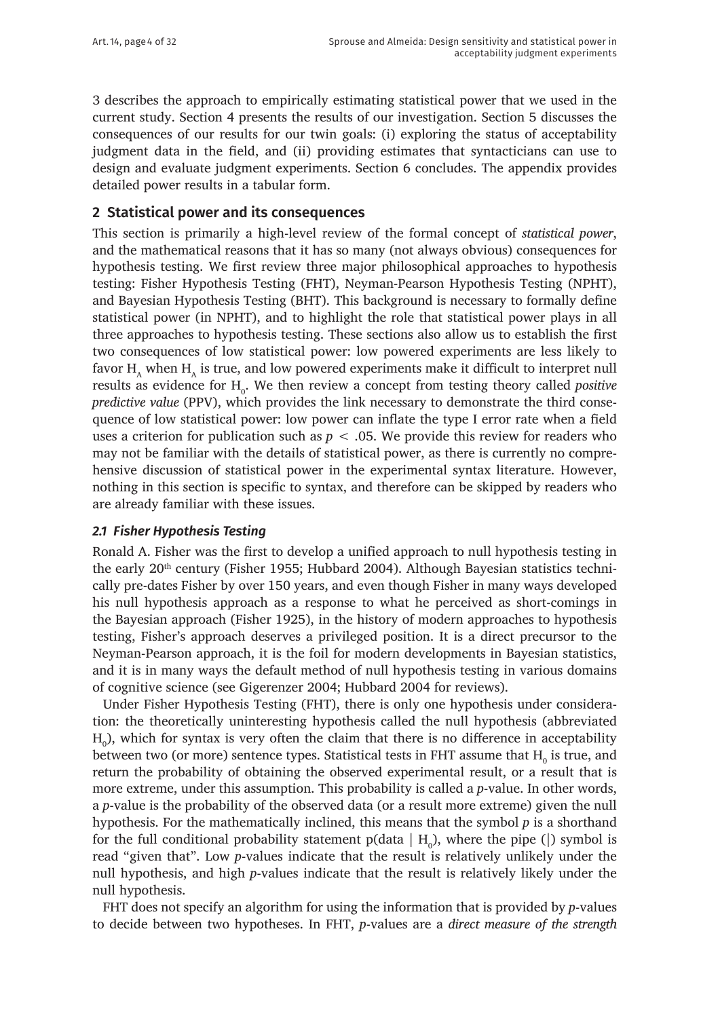Art. 14, page 4 of 32

3 describes the approach to empirically estimating statistical power that we used in the current study. Section 4 presents the results of our investigation. Section 5 discusses the consequences of our results for our twin goals: (i) exploring the status of acceptability judgment data in the field, and (ii) providing estimates that syntacticians can use to design and evaluate judgment experiments. Section 6 concludes. The appendix provides detailed power results in a tabular form.

## **2 Statistical power and its consequences**

This section is primarily a high-level review of the formal concept of *statistical power*, and the mathematical reasons that it has so many (not always obvious) consequences for hypothesis testing. We first review three major philosophical approaches to hypothesis testing: Fisher Hypothesis Testing (FHT), Neyman-Pearson Hypothesis Testing (NPHT), and Bayesian Hypothesis Testing (BHT). This background is necessary to formally define statistical power (in NPHT), and to highlight the role that statistical power plays in all three approaches to hypothesis testing. These sections also allow us to establish the first two consequences of low statistical power: low powered experiments are less likely to favor  $H_{\alpha}$  when  $H_{\alpha}$  is true, and low powered experiments make it difficult to interpret null results as evidence for H<sub>0</sub>. We then review a concept from testing theory called *positive predictive value* (PPV), which provides the link necessary to demonstrate the third consequence of low statistical power: low power can inflate the type I error rate when a field uses a criterion for publication such as  $p < .05$ . We provide this review for readers who may not be familiar with the details of statistical power, as there is currently no comprehensive discussion of statistical power in the experimental syntax literature. However, nothing in this section is specific to syntax, and therefore can be skipped by readers who are already familiar with these issues.

#### *2.1 Fisher Hypothesis Testing*

Ronald A. Fisher was the first to develop a unified approach to null hypothesis testing in the early 20<sup>th</sup> century (Fisher 1955; Hubbard 2004). Although Bayesian statistics technically pre-dates Fisher by over 150 years, and even though Fisher in many ways developed his null hypothesis approach as a response to what he perceived as short-comings in the Bayesian approach (Fisher 1925), in the history of modern approaches to hypothesis testing, Fisher's approach deserves a privileged position. It is a direct precursor to the Neyman-Pearson approach, it is the foil for modern developments in Bayesian statistics, and it is in many ways the default method of null hypothesis testing in various domains of cognitive science (see Gigerenzer 2004; Hubbard 2004 for reviews).

Under Fisher Hypothesis Testing (FHT), there is only one hypothesis under consideration: the theoretically uninteresting hypothesis called the null hypothesis (abbreviated  $\mathrm{H}_0$ ), which for syntax is very often the claim that there is no difference in acceptability between two (or more) sentence types. Statistical tests in FHT assume that  $\mathrm{H_{0}}$  is true, and return the probability of obtaining the observed experimental result, or a result that is more extreme, under this assumption. This probability is called a *p*-value. In other words, a *p*-value is the probability of the observed data (or a result more extreme) given the null hypothesis. For the mathematically inclined, this means that the symbol *p* is a shorthand for the full conditional probability statement p(data  $\vert H_0$ ), where the pipe (|) symbol is read "given that". Low *p*-values indicate that the result is relatively unlikely under the null hypothesis, and high *p*-values indicate that the result is relatively likely under the null hypothesis.

FHT does not specify an algorithm for using the information that is provided by *p*-values to decide between two hypotheses. In FHT, *p*-values are a *direct measure of the strength*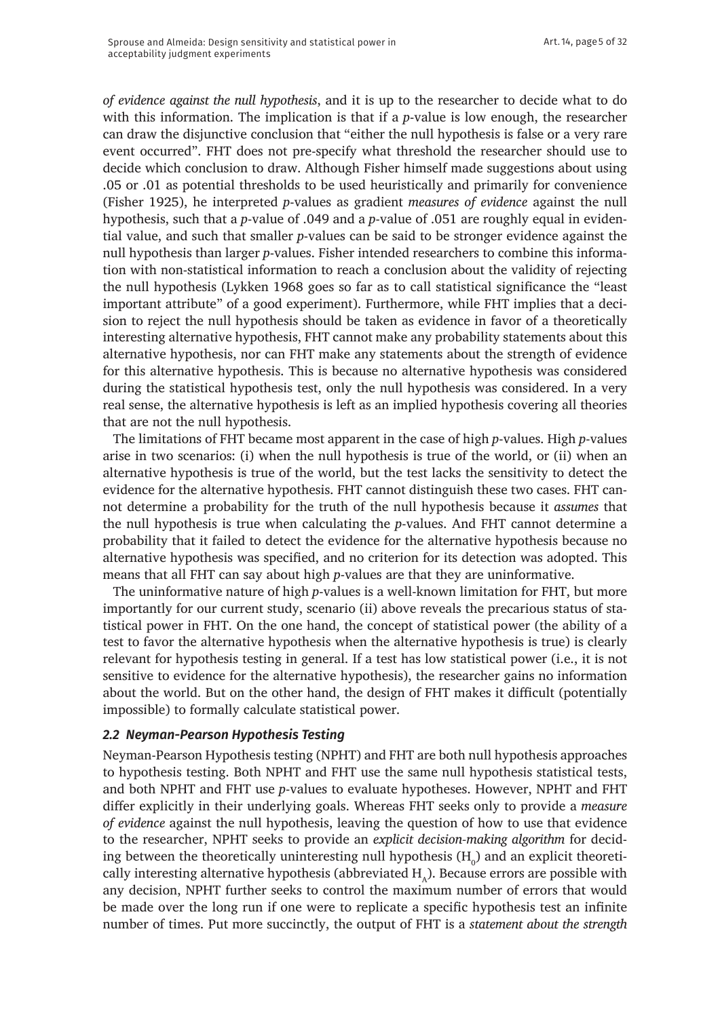*of evidence against the null hypothesis*, and it is up to the researcher to decide what to do with this information. The implication is that if a *p*-value is low enough, the researcher can draw the disjunctive conclusion that "either the null hypothesis is false or a very rare event occurred". FHT does not pre-specify what threshold the researcher should use to decide which conclusion to draw. Although Fisher himself made suggestions about using .05 or .01 as potential thresholds to be used heuristically and primarily for convenience (Fisher 1925), he interpreted *p*-values as gradient *measures of evidence* against the null hypothesis, such that a *p*-value of .049 and a *p*-value of .051 are roughly equal in evidential value, and such that smaller *p*-values can be said to be stronger evidence against the null hypothesis than larger *p*-values. Fisher intended researchers to combine this information with non-statistical information to reach a conclusion about the validity of rejecting the null hypothesis (Lykken 1968 goes so far as to call statistical significance the "least important attribute" of a good experiment). Furthermore, while FHT implies that a decision to reject the null hypothesis should be taken as evidence in favor of a theoretically interesting alternative hypothesis, FHT cannot make any probability statements about this alternative hypothesis, nor can FHT make any statements about the strength of evidence for this alternative hypothesis. This is because no alternative hypothesis was considered during the statistical hypothesis test, only the null hypothesis was considered. In a very real sense, the alternative hypothesis is left as an implied hypothesis covering all theories that are not the null hypothesis.

The limitations of FHT became most apparent in the case of high *p*-values. High *p*-values arise in two scenarios: (i) when the null hypothesis is true of the world, or (ii) when an alternative hypothesis is true of the world, but the test lacks the sensitivity to detect the evidence for the alternative hypothesis. FHT cannot distinguish these two cases. FHT cannot determine a probability for the truth of the null hypothesis because it *assumes* that the null hypothesis is true when calculating the *p*-values. And FHT cannot determine a probability that it failed to detect the evidence for the alternative hypothesis because no alternative hypothesis was specified, and no criterion for its detection was adopted. This means that all FHT can say about high *p*-values are that they are uninformative.

The uninformative nature of high *p*-values is a well-known limitation for FHT, but more importantly for our current study, scenario (ii) above reveals the precarious status of statistical power in FHT. On the one hand, the concept of statistical power (the ability of a test to favor the alternative hypothesis when the alternative hypothesis is true) is clearly relevant for hypothesis testing in general. If a test has low statistical power (i.e., it is not sensitive to evidence for the alternative hypothesis), the researcher gains no information about the world. But on the other hand, the design of FHT makes it difficult (potentially impossible) to formally calculate statistical power.

#### *2.2 Neyman-Pearson Hypothesis Testing*

Neyman-Pearson Hypothesis testing (NPHT) and FHT are both null hypothesis approaches to hypothesis testing. Both NPHT and FHT use the same null hypothesis statistical tests, and both NPHT and FHT use *p*-values to evaluate hypotheses. However, NPHT and FHT differ explicitly in their underlying goals. Whereas FHT seeks only to provide a *measure of evidence* against the null hypothesis, leaving the question of how to use that evidence to the researcher, NPHT seeks to provide an *explicit decision-making algorithm* for deciding between the theoretically uninteresting null hypothesis ( $\mathrm{H}_0$ ) and an explicit theoretically interesting alternative hypothesis (abbreviated  $H<sub>A</sub>$ ). Because errors are possible with any decision, NPHT further seeks to control the maximum number of errors that would be made over the long run if one were to replicate a specific hypothesis test an infinite number of times. Put more succinctly, the output of FHT is a *statement about the strength*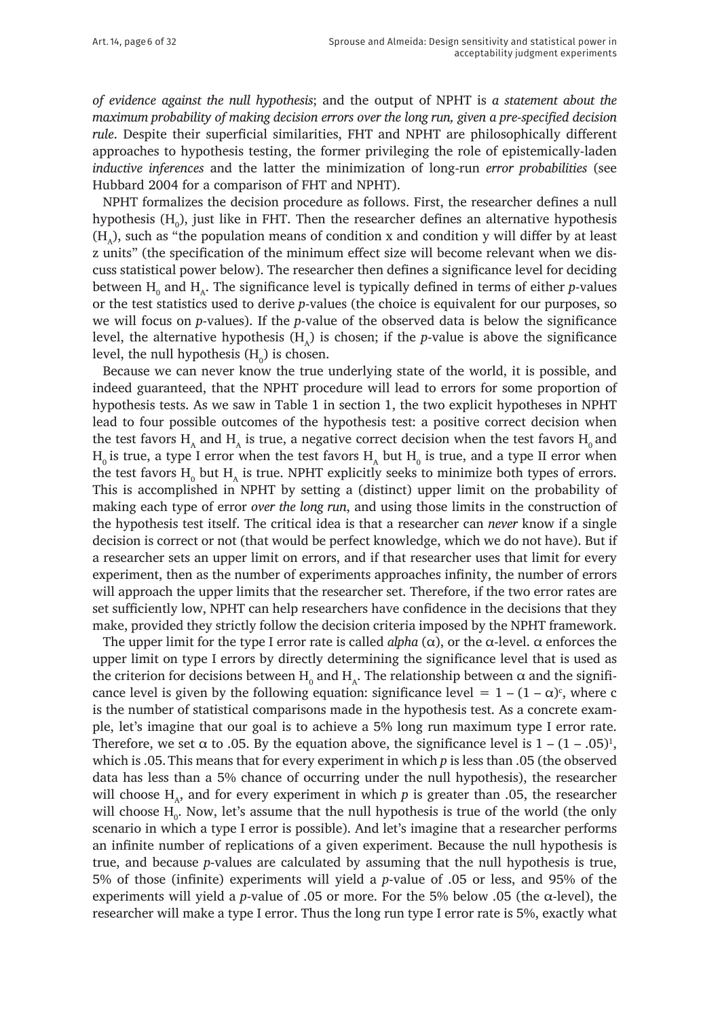*of evidence against the null hypothesis*; and the output of NPHT is *a statement about the maximum probability of making decision errors over the long run, given a pre-specified decision rule*. Despite their superficial similarities, FHT and NPHT are philosophically different approaches to hypothesis testing, the former privileging the role of epistemically-laden *inductive inferences* and the latter the minimization of long-run *error probabilities* (see Hubbard 2004 for a comparison of FHT and NPHT).

NPHT formalizes the decision procedure as follows. First, the researcher defines a null hypothesis (H<sub>0</sub>), just like in FHT. Then the researcher defines an alternative hypothesis  $(H<sub>a</sub>)$ , such as "the population means of condition x and condition y will differ by at least z units" (the specification of the minimum effect size will become relevant when we discuss statistical power below). The researcher then defines a significance level for deciding between  $H_0$  and  $H_A$ . The significance level is typically defined in terms of either *p*-values or the test statistics used to derive *p*-values (the choice is equivalent for our purposes, so we will focus on *p*-values). If the *p*-value of the observed data is below the significance level, the alternative hypothesis  $(H<sub>n</sub>)$  is chosen; if the *p*-value is above the significance level, the null hypothesis ( $H_0$ ) is chosen.

Because we can never know the true underlying state of the world, it is possible, and indeed guaranteed, that the NPHT procedure will lead to errors for some proportion of hypothesis tests. As we saw in Table 1 in section 1, the two explicit hypotheses in NPHT lead to four possible outcomes of the hypothesis test: a positive correct decision when the test favors  $H_A$  and  $H_A$  is true, a negative correct decision when the test favors  $H_0$  and  $\rm H_{_0}$  is true, a type I error when the test favors  $\rm H_{_A}$  but  $\rm H_{_0}$  is true, and a type II error when the test favors  $H_0$  but  $H_A$  is true. NPHT explicitly seeks to minimize both types of errors. This is accomplished in NPHT by setting a (distinct) upper limit on the probability of making each type of error *over the long run*, and using those limits in the construction of the hypothesis test itself. The critical idea is that a researcher can *never* know if a single decision is correct or not (that would be perfect knowledge, which we do not have). But if a researcher sets an upper limit on errors, and if that researcher uses that limit for every experiment, then as the number of experiments approaches infinity, the number of errors will approach the upper limits that the researcher set. Therefore, if the two error rates are set sufficiently low, NPHT can help researchers have confidence in the decisions that they make, provided they strictly follow the decision criteria imposed by the NPHT framework.

The upper limit for the type I error rate is called *alpha*  $(\alpha)$ , or the  $\alpha$ -level.  $\alpha$  enforces the upper limit on type I errors by directly determining the significance level that is used as the criterion for decisions between  $\mathrm{H}_0$  and  $\mathrm{H}_\mathrm{A}$ . The relationship between α and the significance level is given by the following equation: significance level  $= 1 - (1 - \alpha)^c$ , where c is the number of statistical comparisons made in the hypothesis test. As a concrete example, let's imagine that our goal is to achieve a 5% long run maximum type I error rate. Therefore, we set  $\alpha$  to .05. By the equation above, the significance level is  $1 - (1 - .05)^1$ , which is .05.This means that for every experiment in which *p* is less than .05 (the observed data has less than a 5% chance of occurring under the null hypothesis), the researcher will choose  $H_a$ , and for every experiment in which p is greater than .05, the researcher will choose  $H_0$ . Now, let's assume that the null hypothesis is true of the world (the only scenario in which a type I error is possible). And let's imagine that a researcher performs an infinite number of replications of a given experiment. Because the null hypothesis is true, and because *p*-values are calculated by assuming that the null hypothesis is true, 5% of those (infinite) experiments will yield a *p*-value of .05 or less, and 95% of the experiments will yield a *p*-value of .05 or more. For the 5% below .05 (the α-level), the researcher will make a type I error. Thus the long run type I error rate is 5%, exactly what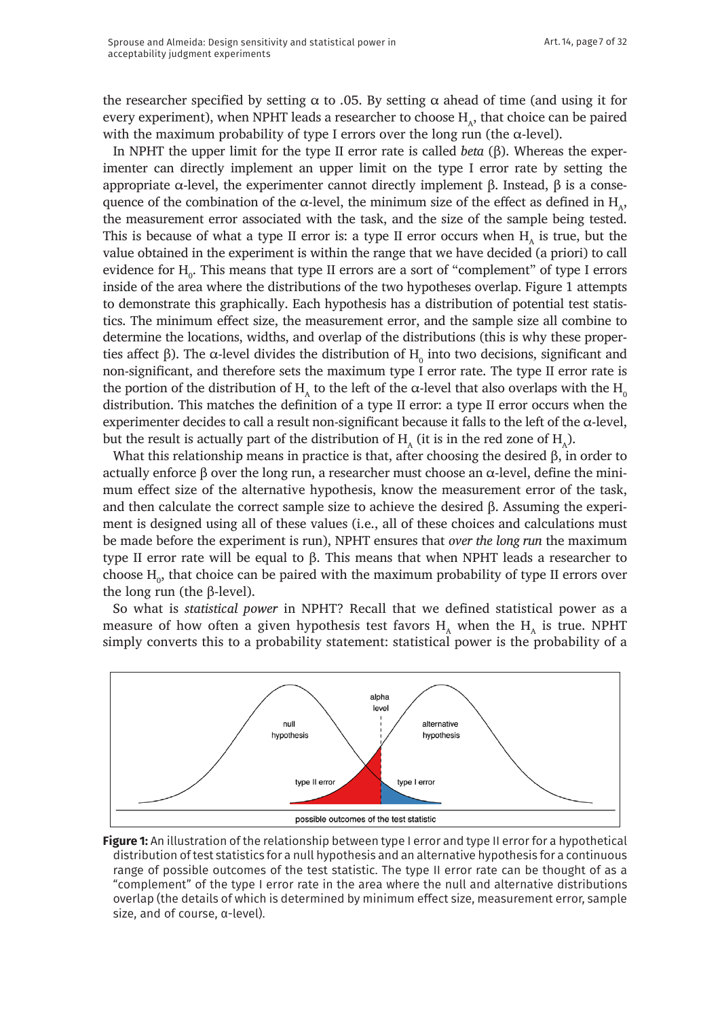the researcher specified by setting  $\alpha$  to .05. By setting  $\alpha$  ahead of time (and using it for every experiment), when NPHT leads a researcher to choose  $H_{\alpha}$ , that choice can be paired with the maximum probability of type I errors over the long run (the  $\alpha$ -level).

In NPHT the upper limit for the type II error rate is called *beta* (β). Whereas the experimenter can directly implement an upper limit on the type I error rate by setting the appropriate  $\alpha$ -level, the experimenter cannot directly implement β. Instead, β is a consequence of the combination of the  $\alpha$ -level, the minimum size of the effect as defined in H<sub> $\alpha$ </sub>, the measurement error associated with the task, and the size of the sample being tested. This is because of what a type II error is: a type II error occurs when  $H<sub>A</sub>$  is true, but the value obtained in the experiment is within the range that we have decided (a priori) to call evidence for  $H_{0}$ . This means that type II errors are a sort of "complement" of type I errors inside of the area where the distributions of the two hypotheses overlap. Figure 1 attempts to demonstrate this graphically. Each hypothesis has a distribution of potential test statistics. The minimum effect size, the measurement error, and the sample size all combine to determine the locations, widths, and overlap of the distributions (this is why these properties affect β). The α-level divides the distribution of  $H_0$  into two decisions, significant and non-significant, and therefore sets the maximum type I error rate. The type II error rate is the portion of the distribution of H<sub>A</sub> to the left of the α-level that also overlaps with the H<sub>0</sub> distribution. This matches the definition of a type II error: a type II error occurs when the experimenter decides to call a result non-significant because it falls to the left of the  $\alpha$ -level, but the result is actually part of the distribution of  $H_a$  (it is in the red zone of  $H_a$ ).

What this relationship means in practice is that, after choosing the desired β, in order to actually enforce β over the long run, a researcher must choose an  $α$ -level, define the minimum effect size of the alternative hypothesis, know the measurement error of the task, and then calculate the correct sample size to achieve the desired β. Assuming the experiment is designed using all of these values (i.e., all of these choices and calculations must be made before the experiment is run), NPHT ensures that *over the long run* the maximum type II error rate will be equal to β. This means that when NPHT leads a researcher to choose  $\mathrm{H}_0$ , that choice can be paired with the maximum probability of type II errors over the long run (the β-level).

So what is *statistical power* in NPHT? Recall that we defined statistical power as a measure of how often a given hypothesis test favors  $H_A$  when the  $H_A$  is true. NPHT simply converts this to a probability statement: statistical power is the probability of a



**Figure 1:** An illustration of the relationship between type I error and type II error for a hypothetical distribution of test statistics for a null hypothesis and an alternative hypothesis for a continuous range of possible outcomes of the test statistic. The type II error rate can be thought of as a "complement" of the type I error rate in the area where the null and alternative distributions overlap (the details of which is determined by minimum effect size, measurement error, sample size, and of course, α-level).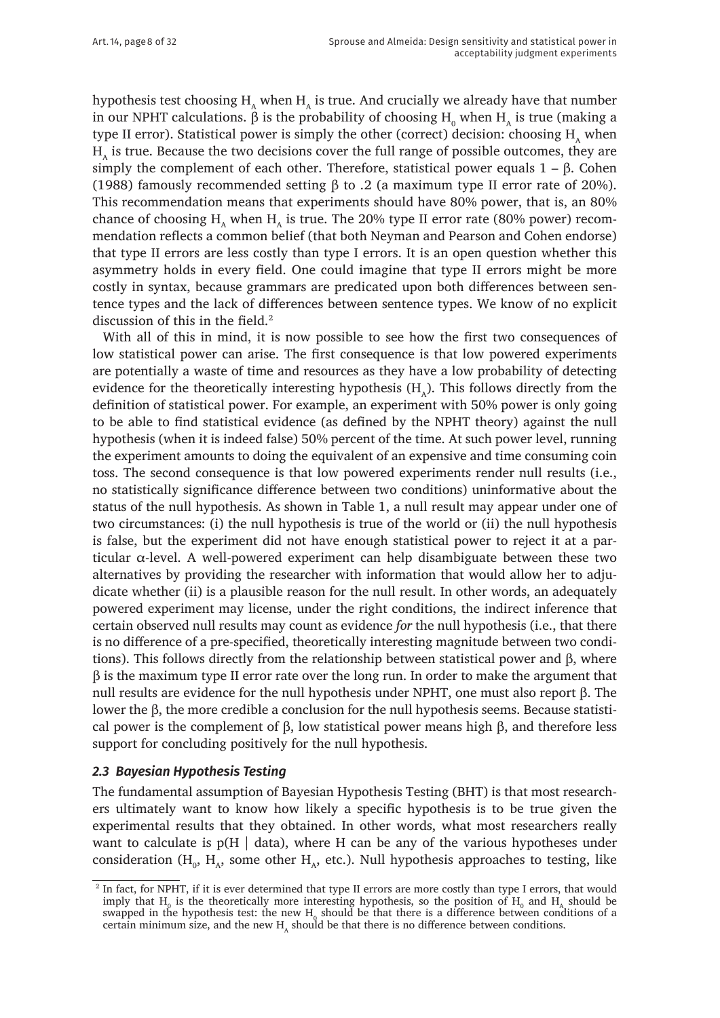hypothesis test choosing  $H_A$  when  $H_A$  is true. And crucially we already have that number in our NPHT calculations.  $\beta$  is the probability of choosing  $\mathrm{H}_{_{0}}$  when  $\mathrm{H}_{_{A}}$  is true (making a type II error). Statistical power is simply the other (correct) decision: choosing  $H<sub>A</sub>$  when  $H<sub>a</sub>$  is true. Because the two decisions cover the full range of possible outcomes, they are simply the complement of each other. Therefore, statistical power equals  $1 - β$ . Cohen (1988) famously recommended setting β to .2 (a maximum type II error rate of 20%). This recommendation means that experiments should have 80% power, that is, an 80% chance of choosing H<sub>A</sub> when H<sub>A</sub> is true. The 20% type II error rate (80% power) recommendation reflects a common belief (that both Neyman and Pearson and Cohen endorse) that type II errors are less costly than type I errors. It is an open question whether this asymmetry holds in every field. One could imagine that type II errors might be more costly in syntax, because grammars are predicated upon both differences between sentence types and the lack of differences between sentence types. We know of no explicit discussion of this in the field.<sup>2</sup>

With all of this in mind, it is now possible to see how the first two consequences of low statistical power can arise. The first consequence is that low powered experiments are potentially a waste of time and resources as they have a low probability of detecting evidence for the theoretically interesting hypothesis  $(H<sub>a</sub>)$ . This follows directly from the definition of statistical power. For example, an experiment with 50% power is only going to be able to find statistical evidence (as defined by the NPHT theory) against the null hypothesis (when it is indeed false) 50% percent of the time. At such power level, running the experiment amounts to doing the equivalent of an expensive and time consuming coin toss. The second consequence is that low powered experiments render null results (i.e., no statistically significance difference between two conditions) uninformative about the status of the null hypothesis. As shown in Table 1, a null result may appear under one of two circumstances: (i) the null hypothesis is true of the world or (ii) the null hypothesis is false, but the experiment did not have enough statistical power to reject it at a particular  $\alpha$ -level. A well-powered experiment can help disambiguate between these two alternatives by providing the researcher with information that would allow her to adjudicate whether (ii) is a plausible reason for the null result. In other words, an adequately powered experiment may license, under the right conditions, the indirect inference that certain observed null results may count as evidence *for* the null hypothesis (i.e., that there is no difference of a pre-specified, theoretically interesting magnitude between two conditions). This follows directly from the relationship between statistical power and β, where β is the maximum type II error rate over the long run. In order to make the argument that null results are evidence for the null hypothesis under NPHT, one must also report β. The lower the β, the more credible a conclusion for the null hypothesis seems. Because statistical power is the complement of β, low statistical power means high β, and therefore less support for concluding positively for the null hypothesis.

#### *2.3 Bayesian Hypothesis Testing*

The fundamental assumption of Bayesian Hypothesis Testing (BHT) is that most researchers ultimately want to know how likely a specific hypothesis is to be true given the experimental results that they obtained. In other words, what most researchers really want to calculate is  $p(H | data)$ , where H can be any of the various hypotheses under consideration ( $H_0$ ,  $H_A$ , some other  $H_A$ , etc.). Null hypothesis approaches to testing, like

<sup>&</sup>lt;sup>2</sup> In fact, for NPHT, if it is ever determined that type II errors are more costly than type I errors, that would imply that  $H_0$  is the theoretically more interesting hypothesis, so the position of  $H_0$  and  $H_A$  should be swapped in the hypothesis test: the new  $H_0$  should be that there is a difference between conditions of a certain minimum size, and the new  $H<sub>A</sub>$  should be that there is no difference between conditions.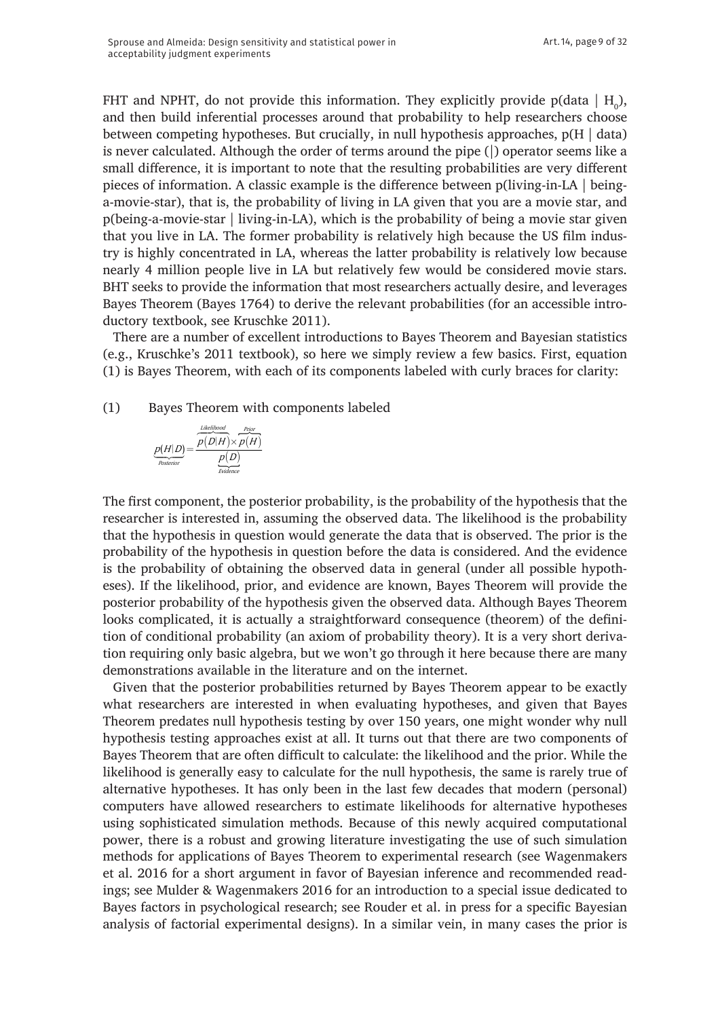FHT and NPHT, do not provide this information. They explicitly provide p(data  $\mid$  H<sub>0</sub>), and then build inferential processes around that probability to help researchers choose between competing hypotheses. But crucially, in null hypothesis approaches,  $p(H | data)$ is never calculated. Although the order of terms around the pipe (|) operator seems like a small difference, it is important to note that the resulting probabilities are very different pieces of information. A classic example is the difference between p(living-in-LA | beinga-movie-star), that is, the probability of living in LA given that you are a movie star, and p(being-a-movie-star | living-in-LA), which is the probability of being a movie star given that you live in LA. The former probability is relatively high because the US film industry is highly concentrated in LA, whereas the latter probability is relatively low because nearly 4 million people live in LA but relatively few would be considered movie stars. BHT seeks to provide the information that most researchers actually desire, and leverages Bayes Theorem (Bayes 1764) to derive the relevant probabilities (for an accessible introductory textbook, see Kruschke 2011).

There are a number of excellent introductions to Bayes Theorem and Bayesian statistics (e.g., Kruschke's 2011 textbook), so here we simply review a few basics. First, equation (1) is Bayes Theorem, with each of its components labeled with curly braces for clarity:

(1) Bayes Theorem with components labeled

$$
\underbrace{p(H|D)}_{\text{Posterior}} = \frac{\overbrace{p(D|H)}^{\text{likelihood}} \times \overbrace{p(H)}^{\text{Prior}}}{\underbrace{p(D)}_{\text{Evidence}}}
$$

The first component, the posterior probability, is the probability of the hypothesis that the researcher is interested in, assuming the observed data. The likelihood is the probability that the hypothesis in question would generate the data that is observed. The prior is the probability of the hypothesis in question before the data is considered. And the evidence is the probability of obtaining the observed data in general (under all possible hypotheses). If the likelihood, prior, and evidence are known, Bayes Theorem will provide the posterior probability of the hypothesis given the observed data. Although Bayes Theorem looks complicated, it is actually a straightforward consequence (theorem) of the definition of conditional probability (an axiom of probability theory). It is a very short derivation requiring only basic algebra, but we won't go through it here because there are many demonstrations available in the literature and on the internet.

Given that the posterior probabilities returned by Bayes Theorem appear to be exactly what researchers are interested in when evaluating hypotheses, and given that Bayes Theorem predates null hypothesis testing by over 150 years, one might wonder why null hypothesis testing approaches exist at all. It turns out that there are two components of Bayes Theorem that are often difficult to calculate: the likelihood and the prior. While the likelihood is generally easy to calculate for the null hypothesis, the same is rarely true of alternative hypotheses. It has only been in the last few decades that modern (personal) computers have allowed researchers to estimate likelihoods for alternative hypotheses using sophisticated simulation methods. Because of this newly acquired computational power, there is a robust and growing literature investigating the use of such simulation methods for applications of Bayes Theorem to experimental research (see Wagenmakers et al. 2016 for a short argument in favor of Bayesian inference and recommended readings; see Mulder & Wagenmakers 2016 for an introduction to a special issue dedicated to Bayes factors in psychological research; see Rouder et al. in press for a specific Bayesian analysis of factorial experimental designs). In a similar vein, in many cases the prior is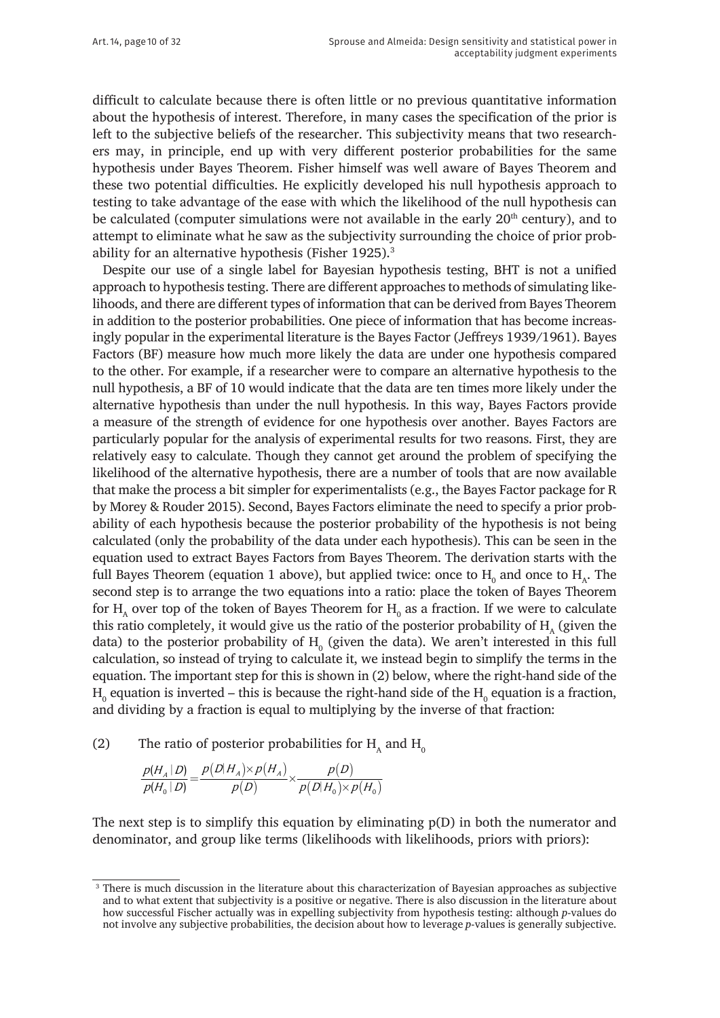difficult to calculate because there is often little or no previous quantitative information about the hypothesis of interest. Therefore, in many cases the specification of the prior is left to the subjective beliefs of the researcher. This subjectivity means that two researchers may, in principle, end up with very different posterior probabilities for the same hypothesis under Bayes Theorem. Fisher himself was well aware of Bayes Theorem and these two potential difficulties. He explicitly developed his null hypothesis approach to testing to take advantage of the ease with which the likelihood of the null hypothesis can be calculated (computer simulations were not available in the early  $20<sup>th</sup>$  century), and to attempt to eliminate what he saw as the subjectivity surrounding the choice of prior probability for an alternative hypothesis (Fisher 1925).<sup>3</sup>

Despite our use of a single label for Bayesian hypothesis testing, BHT is not a unified approach to hypothesis testing. There are different approaches to methods of simulating likelihoods, and there are different types of information that can be derived from Bayes Theorem in addition to the posterior probabilities. One piece of information that has become increasingly popular in the experimental literature is the Bayes Factor (Jeffreys 1939/1961). Bayes Factors (BF) measure how much more likely the data are under one hypothesis compared to the other. For example, if a researcher were to compare an alternative hypothesis to the null hypothesis, a BF of 10 would indicate that the data are ten times more likely under the alternative hypothesis than under the null hypothesis. In this way, Bayes Factors provide a measure of the strength of evidence for one hypothesis over another. Bayes Factors are particularly popular for the analysis of experimental results for two reasons. First, they are relatively easy to calculate. Though they cannot get around the problem of specifying the likelihood of the alternative hypothesis, there are a number of tools that are now available that make the process a bit simpler for experimentalists (e.g., the Bayes Factor package for R by Morey & Rouder 2015). Second, Bayes Factors eliminate the need to specify a prior probability of each hypothesis because the posterior probability of the hypothesis is not being calculated (only the probability of the data under each hypothesis). This can be seen in the equation used to extract Bayes Factors from Bayes Theorem. The derivation starts with the full Bayes Theorem (equation 1 above), but applied twice: once to  $H_0$  and once to  $H_A$ . The second step is to arrange the two equations into a ratio: place the token of Bayes Theorem for  $H_{\text{\tiny A}}$  over top of the token of Bayes Theorem for  $H_{\text{\tiny 0}}$  as a fraction. If we were to calculate this ratio completely, it would give us the ratio of the posterior probability of  $H<sub>a</sub>$  (given the data) to the posterior probability of  $H_0$  (given the data). We aren't interested in this full calculation, so instead of trying to calculate it, we instead begin to simplify the terms in the equation. The important step for this is shown in (2) below, where the right-hand side of the  $\rm{H}_{o}$  equation is inverted – this is because the right-hand side of the  $\rm{H}_{o}$  equation is a fraction, and dividing by a fraction is equal to multiplying by the inverse of that fraction:

(2) The ratio of posterior probabilities for  $H_a$  and  $H_0$ 

$$
\frac{p(H_A \mid D)}{p(H_0 \mid D)} = \frac{p(D \mid H_A) \times p(H_A)}{p(D)} \times \frac{p(D)}{p(D \mid H_0) \times p(H_0)}
$$

The next step is to simplify this equation by eliminating p(D) in both the numerator and denominator, and group like terms (likelihoods with likelihoods, priors with priors):

<sup>&</sup>lt;sup>3</sup> There is much discussion in the literature about this characterization of Bayesian approaches as subjective and to what extent that subjectivity is a positive or negative. There is also discussion in the literature about how successful Fischer actually was in expelling subjectivity from hypothesis testing: although *p*-values do not involve any subjective probabilities, the decision about how to leverage *p*-values is generally subjective.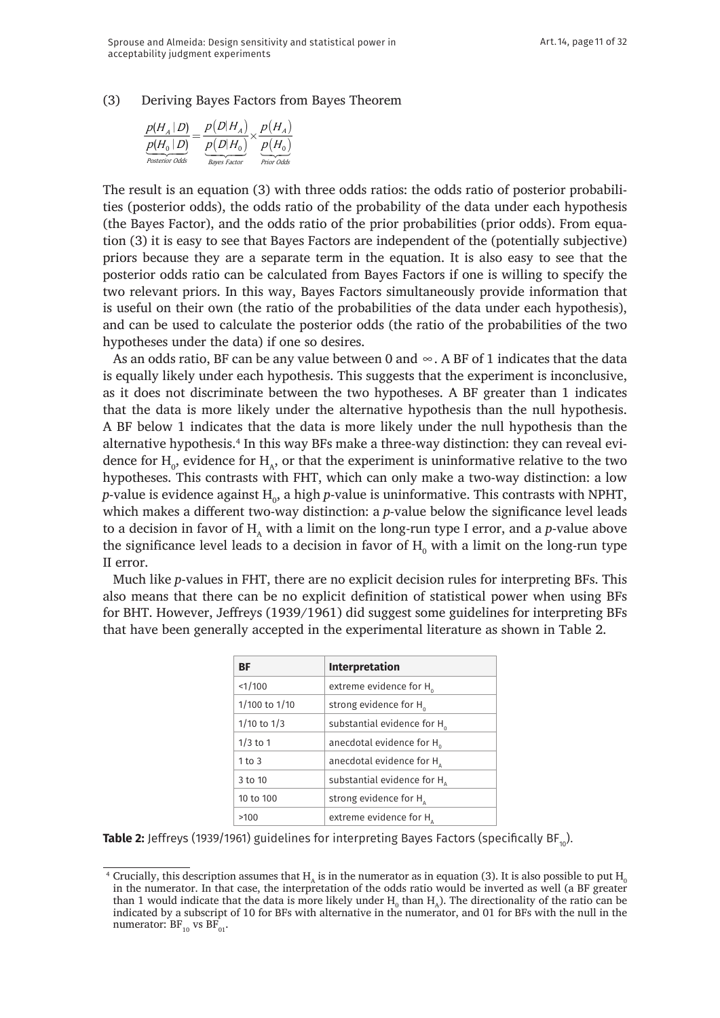(3) Deriving Bayes Factors from Bayes Theorem

| $p(H_A D)$            | $p(D H_{A})$        | $p(H_A)$   |
|-----------------------|---------------------|------------|
| $p(H_{0}   D)$        | $p(D H_0)$          | $p(H_0)$   |
| <b>Posterior Odds</b> | <b>Bayes Factor</b> | Prior Odds |

The result is an equation (3) with three odds ratios: the odds ratio of posterior probabilities (posterior odds), the odds ratio of the probability of the data under each hypothesis (the Bayes Factor), and the odds ratio of the prior probabilities (prior odds). From equation (3) it is easy to see that Bayes Factors are independent of the (potentially subjective) priors because they are a separate term in the equation. It is also easy to see that the posterior odds ratio can be calculated from Bayes Factors if one is willing to specify the two relevant priors. In this way, Bayes Factors simultaneously provide information that is useful on their own (the ratio of the probabilities of the data under each hypothesis), and can be used to calculate the posterior odds (the ratio of the probabilities of the two hypotheses under the data) if one so desires.

As an odds ratio, BF can be any value between 0 and  $\infty$ . A BF of 1 indicates that the data is equally likely under each hypothesis. This suggests that the experiment is inconclusive, as it does not discriminate between the two hypotheses. A BF greater than 1 indicates that the data is more likely under the alternative hypothesis than the null hypothesis. A BF below 1 indicates that the data is more likely under the null hypothesis than the alternative hypothesis.<sup>4</sup> In this way BFs make a three-way distinction: they can reveal evidence for  $H_{0}$ , evidence for  $H_{A}$ , or that the experiment is uninformative relative to the two hypotheses. This contrasts with FHT, which can only make a two-way distinction: a low  $p$ -value is evidence against  $\mathrm{H}_{_{0}}$ , a high  $p$ -value is uninformative. This contrasts with NPHT, which makes a different two-way distinction: a *p-*value below the significance level leads to a decision in favor of  $H$ <sub>A</sub> with a limit on the long-run type I error, and a *p*-value above the significance level leads to a decision in favor of  $\mathrm{H}_{_{\mathrm{0}}}$  with a limit on the long-run type II error.

Much like *p*-values in FHT, there are no explicit decision rules for interpreting BFs. This also means that there can be no explicit definition of statistical power when using BFs for BHT. However, Jeffreys (1939/1961) did suggest some guidelines for interpreting BFs that have been generally accepted in the experimental literature as shown in Table 2.

| ВF              | <b>Interpretation</b>                   |  |
|-----------------|-----------------------------------------|--|
| 1/100           | extreme evidence for H <sub>o</sub>     |  |
| 1/100 to 1/10   | strong evidence for H <sub>o</sub>      |  |
| $1/10$ to $1/3$ | substantial evidence for H <sub>o</sub> |  |
| $1/3$ to 1      | anecdotal evidence for H                |  |
| $1$ to $3$      | anecdotal evidence for $H_{\alpha}$     |  |
| 3 to 10         | substantial evidence for $H_{\alpha}$   |  |
| 10 to 100       | strong evidence for H                   |  |
| >100            | extreme evidence for $H_{\alpha}$       |  |

**Table 2:** Jeffreys (1939/1961) guidelines for interpreting Bayes Factors (specifically BF<sub>10</sub>).

<sup>&</sup>lt;sup>4</sup> Crucially, this description assumes that  $H_A$  is in the numerator as in equation (3). It is also possible to put  $H_0$ in the numerator. In that case, the interpretation of the odds ratio would be inverted as well (a BF greater than 1 would indicate that the data is more likely under  $H_0$  than  $H_A$ ). The directionality of the ratio can be indicated by a subscript of 10 for BFs with alternative in the numerator, and 01 for BFs with the null in the numerator:  $BF_{10}$  vs  $BF_{01}$ .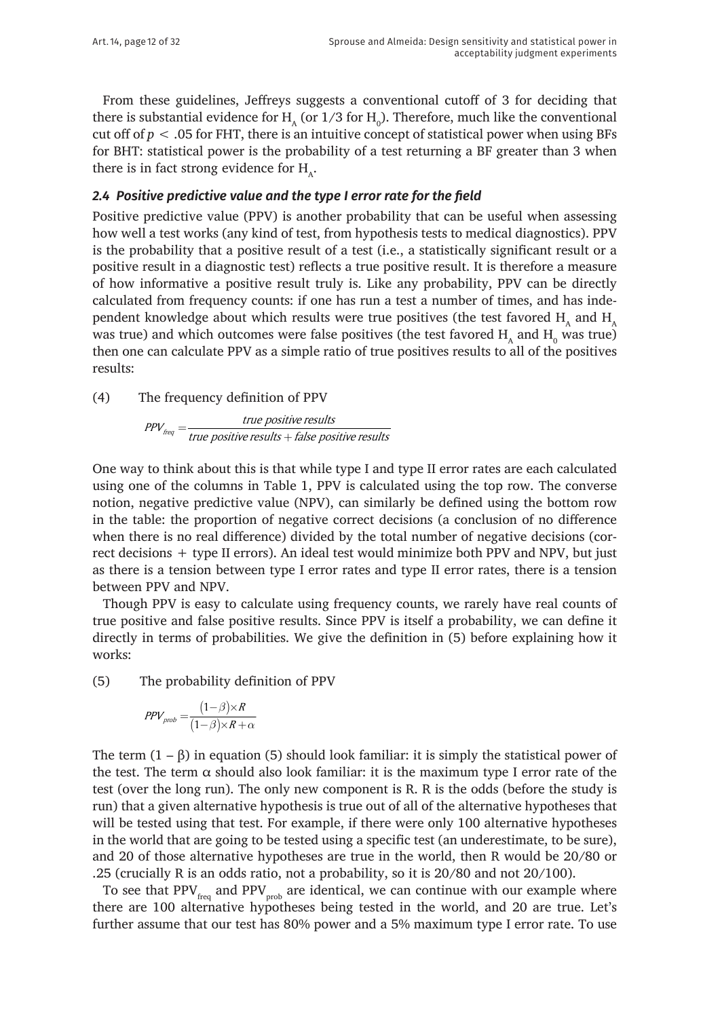From these guidelines, Jeffreys suggests a conventional cutoff of 3 for deciding that there is substantial evidence for  $H_A$  (or 1/3 for  $H_0$ ). Therefore, much like the conventional cut off of *p* < .05 for FHT, there is an intuitive concept of statistical power when using BFs for BHT: statistical power is the probability of a test returning a BF greater than 3 when there is in fact strong evidence for  $H_{\alpha}$ .

#### *2.4 Positive predictive value and the type I error rate for the field*

Positive predictive value (PPV) is another probability that can be useful when assessing how well a test works (any kind of test, from hypothesis tests to medical diagnostics). PPV is the probability that a positive result of a test (i.e., a statistically significant result or a positive result in a diagnostic test) reflects a true positive result. It is therefore a measure of how informative a positive result truly is. Like any probability, PPV can be directly calculated from frequency counts: if one has run a test a number of times, and has independent knowledge about which results were true positives (the test favored  $H$ , and  $H$ ) was true) and which outcomes were false positives (the test favored  $\mathrm{H}_{_\mathrm{A}}$  and  $\mathrm{H}_{_\mathrm{0}}$  was true) then one can calculate PPV as a simple ratio of true positives results to all of the positives results:

(4) The frequency definition of PPV

positive r <sup>freq —</sup> true positive results + false positive r  $PPV_{\text{freq}} = \frac{\text{true positive results}}{\text{true positive results} + \text{false positive results}}$ 

One way to think about this is that while type I and type II error rates are each calculated using one of the columns in Table 1, PPV is calculated using the top row. The converse notion, negative predictive value (NPV), can similarly be defined using the bottom row in the table: the proportion of negative correct decisions (a conclusion of no difference when there is no real difference) divided by the total number of negative decisions (correct decisions + type II errors). An ideal test would minimize both PPV and NPV, but just as there is a tension between type I error rates and type II error rates, there is a tension between PPV and NPV.

Though PPV is easy to calculate using frequency counts, we rarely have real counts of true positive and false positive results. Since PPV is itself a probability, we can define it directly in terms of probabilities. We give the definition in (5) before explaining how it works:

(5) The probability definition of PPV

$$
PPV_{prob} = \frac{(1-\beta)\times R}{(1-\beta)\times R + \alpha}
$$

The term  $(1 - \beta)$  in equation (5) should look familiar: it is simply the statistical power of the test. The term  $\alpha$  should also look familiar: it is the maximum type I error rate of the test (over the long run). The only new component is R. R is the odds (before the study is run) that a given alternative hypothesis is true out of all of the alternative hypotheses that will be tested using that test. For example, if there were only 100 alternative hypotheses in the world that are going to be tested using a specific test (an underestimate, to be sure), and 20 of those alternative hypotheses are true in the world, then R would be 20/80 or .25 (crucially R is an odds ratio, not a probability, so it is 20/80 and not 20/100).

To see that  $PPV_{\text{free}}$  and  $PPV_{\text{prob}}$  are identical, we can continue with our example where there are 100 alternative hypotheses being tested in the world, and 20 are true. Let's further assume that our test has 80% power and a 5% maximum type I error rate. To use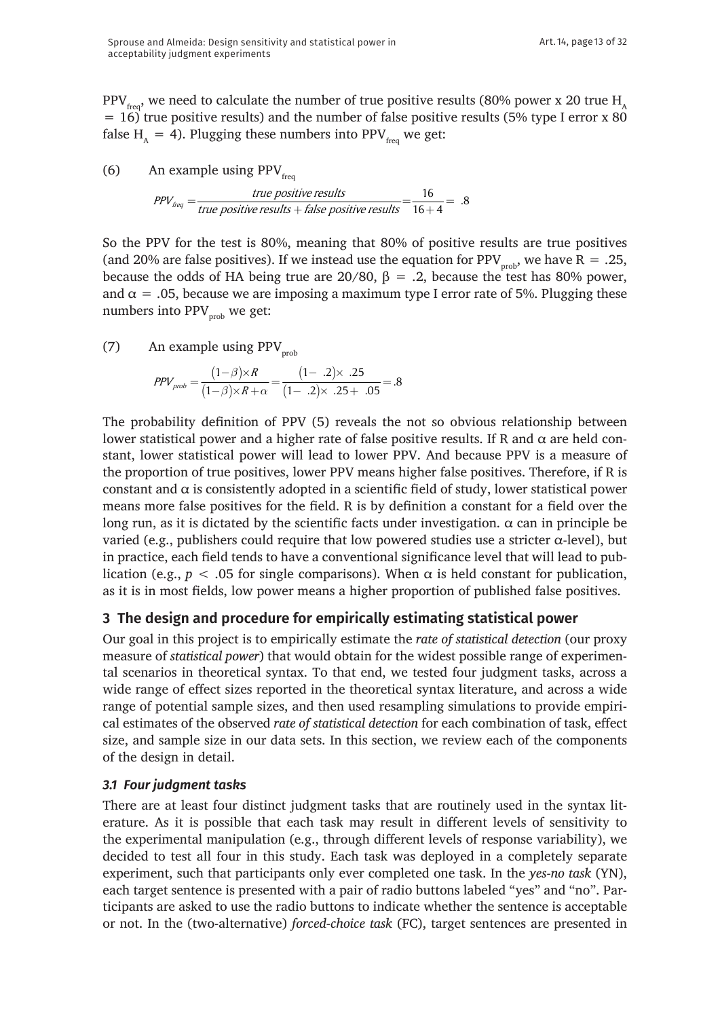PPV<sub>freq</sub>, we need to calculate the number of true positive results (80% power x 20 true H<sub>A</sub>  $= 16$ ) true positive results) and the number of false positive results (5% type I error x 80 false H<sub>A</sub> = 4). Plugging these numbers into PPV<sub>freq</sub> we get:

(6) An example using  $PPV_{frr}$ 

 $PPV_{freq} = \frac{true \ positive \ results}{true \ positive \ results + false \ positive \ results} = \frac{16}{16+4} = .8$ 

So the PPV for the test is 80%, meaning that 80% of positive results are true positives (and 20% are false positives). If we instead use the equation for PPV<sub>prob</sub>, we have R = .25, because the odds of HA being true are 20/80,  $\beta = .2$ , because the test has 80% power, and  $\alpha = 0.05$ , because we are imposing a maximum type I error rate of 5%. Plugging these numbers into  $PPV_{prob}$  we get:

(7) An example using  $PPV_{prob}$ 

$$
PPV_{prob} = \frac{(1-\beta)\times R}{(1-\beta)\times R + \alpha} = \frac{(1-.2)\times .25}{(1-.2)\times .25 + .05} = .8
$$

The probability definition of PPV (5) reveals the not so obvious relationship between lower statistical power and a higher rate of false positive results. If R and α are held constant, lower statistical power will lead to lower PPV. And because PPV is a measure of the proportion of true positives, lower PPV means higher false positives. Therefore, if R is constant and  $\alpha$  is consistently adopted in a scientific field of study, lower statistical power means more false positives for the field. R is by definition a constant for a field over the long run, as it is dictated by the scientific facts under investigation.  $\alpha$  can in principle be varied (e.g., publishers could require that low powered studies use a stricter  $\alpha$ -level), but in practice, each field tends to have a conventional significance level that will lead to publication (e.g.,  $p < .05$  for single comparisons). When  $\alpha$  is held constant for publication, as it is in most fields, low power means a higher proportion of published false positives.

# **3 The design and procedure for empirically estimating statistical power**

Our goal in this project is to empirically estimate the *rate of statistical detection* (our proxy measure of *statistical power*) that would obtain for the widest possible range of experimental scenarios in theoretical syntax. To that end, we tested four judgment tasks, across a wide range of effect sizes reported in the theoretical syntax literature, and across a wide range of potential sample sizes, and then used resampling simulations to provide empirical estimates of the observed *rate of statistical detection* for each combination of task, effect size, and sample size in our data sets. In this section, we review each of the components of the design in detail.

## *3.1 Four judgment tasks*

There are at least four distinct judgment tasks that are routinely used in the syntax literature. As it is possible that each task may result in different levels of sensitivity to the experimental manipulation (e.g., through different levels of response variability), we decided to test all four in this study. Each task was deployed in a completely separate experiment, such that participants only ever completed one task. In the *yes-no task* (YN), each target sentence is presented with a pair of radio buttons labeled "yes" and "no". Participants are asked to use the radio buttons to indicate whether the sentence is acceptable or not. In the (two-alternative) *forced-choice task* (FC), target sentences are presented in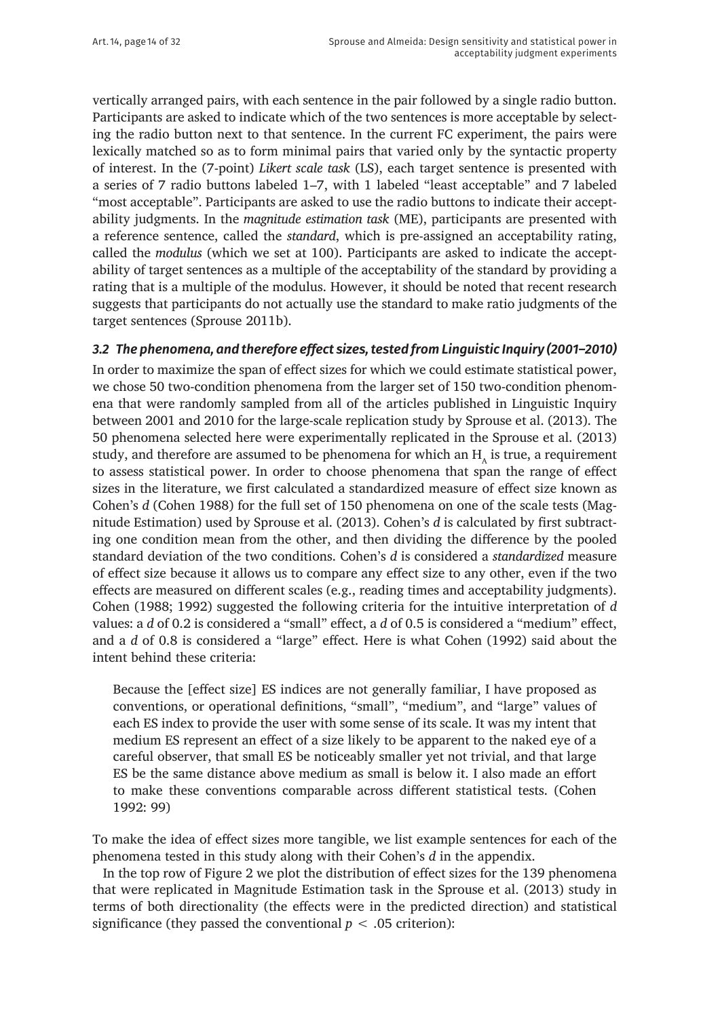vertically arranged pairs, with each sentence in the pair followed by a single radio button. Participants are asked to indicate which of the two sentences is more acceptable by selecting the radio button next to that sentence. In the current FC experiment, the pairs were lexically matched so as to form minimal pairs that varied only by the syntactic property of interest. In the (7-point) *Likert scale task* (LS), each target sentence is presented with a series of 7 radio buttons labeled 1–7, with 1 labeled "least acceptable" and 7 labeled "most acceptable". Participants are asked to use the radio buttons to indicate their acceptability judgments. In the *magnitude estimation task* (ME), participants are presented with a reference sentence, called the *standard*, which is pre-assigned an acceptability rating, called the *modulus* (which we set at 100). Participants are asked to indicate the acceptability of target sentences as a multiple of the acceptability of the standard by providing a rating that is a multiple of the modulus. However, it should be noted that recent research suggests that participants do not actually use the standard to make ratio judgments of the target sentences (Sprouse 2011b).

#### *3.2 The phenomena, and therefore effect sizes, tested from Linguistic Inquiry (2001–2010)*

In order to maximize the span of effect sizes for which we could estimate statistical power, we chose 50 two-condition phenomena from the larger set of 150 two-condition phenomena that were randomly sampled from all of the articles published in Linguistic Inquiry between 2001 and 2010 for the large-scale replication study by Sprouse et al. (2013). The 50 phenomena selected here were experimentally replicated in the Sprouse et al. (2013) study, and therefore are assumed to be phenomena for which an  $H<sub>a</sub>$  is true, a requirement to assess statistical power. In order to choose phenomena that span the range of effect sizes in the literature, we first calculated a standardized measure of effect size known as Cohen's *d* (Cohen 1988) for the full set of 150 phenomena on one of the scale tests (Magnitude Estimation) used by Sprouse et al. (2013). Cohen's *d* is calculated by first subtracting one condition mean from the other, and then dividing the difference by the pooled standard deviation of the two conditions. Cohen's *d* is considered a *standardized* measure of effect size because it allows us to compare any effect size to any other, even if the two effects are measured on different scales (e.g., reading times and acceptability judgments). Cohen (1988; 1992) suggested the following criteria for the intuitive interpretation of *d* values: a *d* of 0.2 is considered a "small" effect, a *d* of 0.5 is considered a "medium" effect, and a *d* of 0.8 is considered a "large" effect. Here is what Cohen (1992) said about the intent behind these criteria:

Because the [effect size] ES indices are not generally familiar, I have proposed as conventions, or operational definitions, "small", "medium", and "large" values of each ES index to provide the user with some sense of its scale. It was my intent that medium ES represent an effect of a size likely to be apparent to the naked eye of a careful observer, that small ES be noticeably smaller yet not trivial, and that large ES be the same distance above medium as small is below it. I also made an effort to make these conventions comparable across different statistical tests. (Cohen 1992: 99)

To make the idea of effect sizes more tangible, we list example sentences for each of the phenomena tested in this study along with their Cohen's *d* in the appendix.

In the top row of Figure 2 we plot the distribution of effect sizes for the 139 phenomena that were replicated in Magnitude Estimation task in the Sprouse et al. (2013) study in terms of both directionality (the effects were in the predicted direction) and statistical significance (they passed the conventional  $p < .05$  criterion):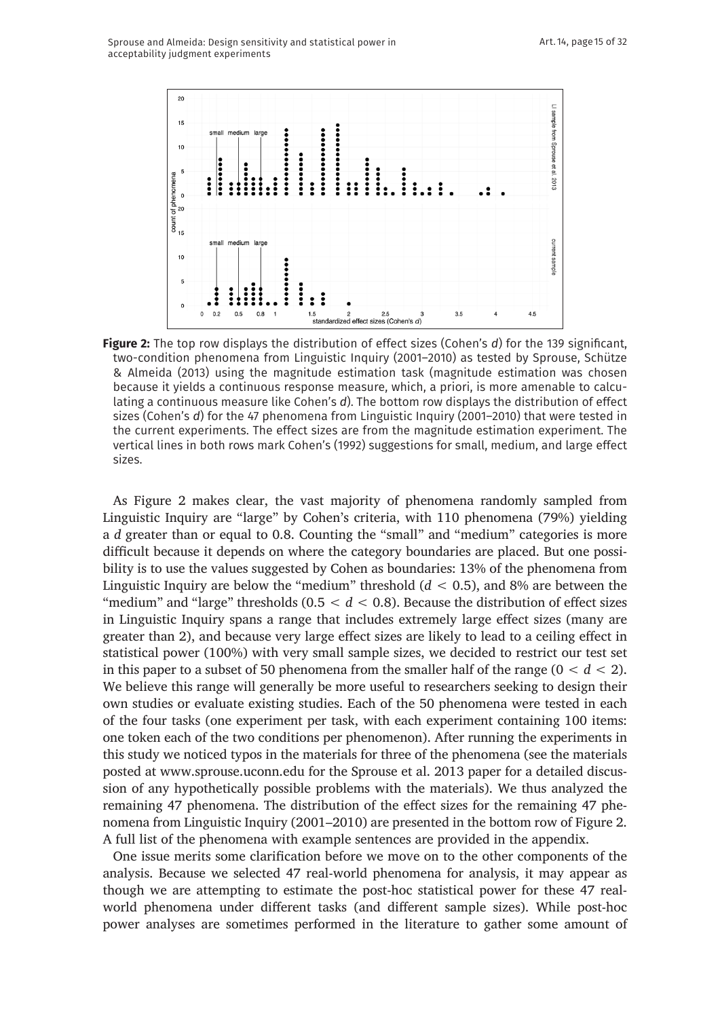

**Figure 2:** The top row displays the distribution of effect sizes (Cohen's *d*) for the 139 significant, two-condition phenomena from Linguistic Inquiry (2001–2010) as tested by Sprouse, Schütze & Almeida (2013) using the magnitude estimation task (magnitude estimation was chosen because it yields a continuous response measure, which, a priori, is more amenable to calculating a continuous measure like Cohen's *d*). The bottom row displays the distribution of effect sizes (Cohen's *d*) for the 47 phenomena from Linguistic Inquiry (2001–2010) that were tested in the current experiments. The effect sizes are from the magnitude estimation experiment. The vertical lines in both rows mark Cohen's (1992) suggestions for small, medium, and large effect sizes.

As Figure 2 makes clear, the vast majority of phenomena randomly sampled from Linguistic Inquiry are "large" by Cohen's criteria, with 110 phenomena (79%) yielding a *d* greater than or equal to 0.8. Counting the "small" and "medium" categories is more difficult because it depends on where the category boundaries are placed. But one possibility is to use the values suggested by Cohen as boundaries: 13% of the phenomena from Linguistic Inquiry are below the "medium" threshold (*d* < 0.5), and 8% are between the "medium" and "large" thresholds  $(0.5 < d < 0.8)$ . Because the distribution of effect sizes in Linguistic Inquiry spans a range that includes extremely large effect sizes (many are greater than 2), and because very large effect sizes are likely to lead to a ceiling effect in statistical power (100%) with very small sample sizes, we decided to restrict our test set in this paper to a subset of 50 phenomena from the smaller half of the range  $(0 < d < 2)$ . We believe this range will generally be more useful to researchers seeking to design their own studies or evaluate existing studies. Each of the 50 phenomena were tested in each of the four tasks (one experiment per task, with each experiment containing 100 items: one token each of the two conditions per phenomenon). After running the experiments in this study we noticed typos in the materials for three of the phenomena (see the materials posted at [www.sprouse.uconn.edu](http://www.sprouse.uconn.edu) for the Sprouse et al. 2013 paper for a detailed discussion of any hypothetically possible problems with the materials). We thus analyzed the remaining 47 phenomena. The distribution of the effect sizes for the remaining 47 phenomena from Linguistic Inquiry (2001–2010) are presented in the bottom row of Figure 2. A full list of the phenomena with example sentences are provided in the appendix.

One issue merits some clarification before we move on to the other components of the analysis. Because we selected 47 real-world phenomena for analysis, it may appear as though we are attempting to estimate the post-hoc statistical power for these 47 realworld phenomena under different tasks (and different sample sizes). While post-hoc power analyses are sometimes performed in the literature to gather some amount of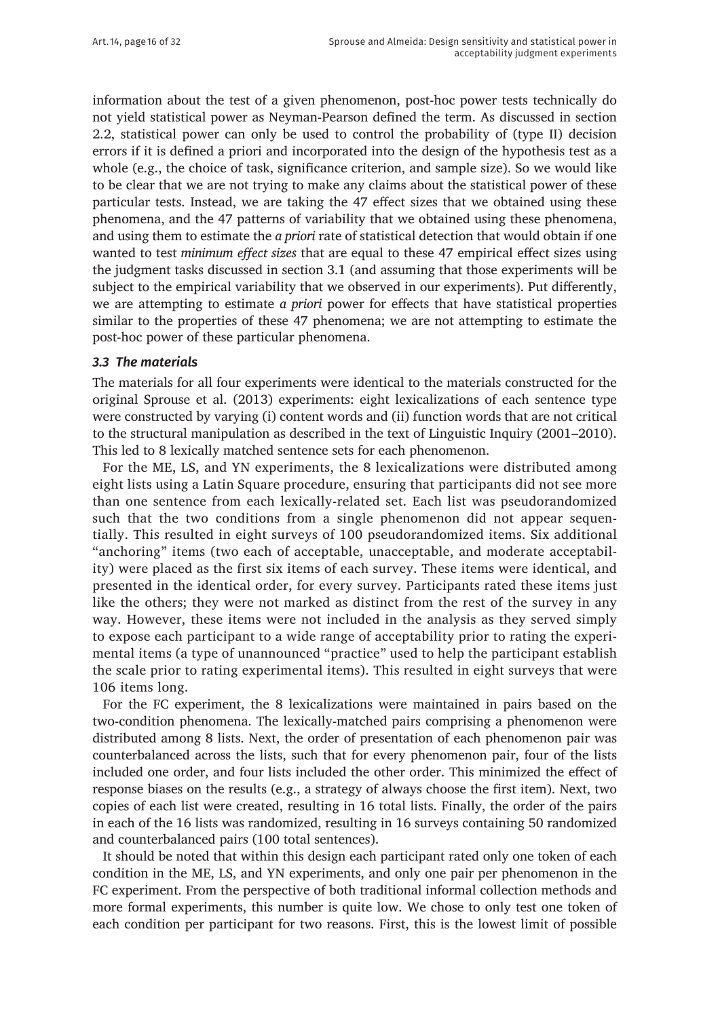information about the test of a given phenomenon, post-hoc power tests technically do not yield statistical power as Neyman-Pearson defined the term. As discussed in section 2.2, statistical power can only be used to control the probability of (type II) decision errors if it is defined a priori and incorporated into the design of the hypothesis test as a whole (e.g., the choice of task, significance criterion, and sample size). So we would like to be clear that we are not trying to make any claims about the statistical power of these particular tests. Instead, we are taking the 47 effect sizes that we obtained using these phenomena, and the 47 patterns of variability that we obtained using these phenomena, and using them to estimate the *a priori* rate of statistical detection that would obtain if one wanted to test *minimum effect sizes* that are equal to these 47 empirical effect sizes using the judgment tasks discussed in section 3.1 (and assuming that those experiments will be subject to the empirical variability that we observed in our experiments). Put differently, we are attempting to estimate *a priori* power for effects that have statistical properties similar to the properties of these 47 phenomena; we are not attempting to estimate the post-hoc power of these particular phenomena.

#### *3.3 The materials*

The materials for all four experiments were identical to the materials constructed for the original Sprouse et al. (2013) experiments: eight lexicalizations of each sentence type were constructed by varying (i) content words and (ii) function words that are not critical to the structural manipulation as described in the text of Linguistic Inquiry (2001–2010). This led to 8 lexically matched sentence sets for each phenomenon.

For the ME, LS, and YN experiments, the 8 lexicalizations were distributed among eight lists using a Latin Square procedure, ensuring that participants did not see more than one sentence from each lexically-related set. Each list was pseudorandomized such that the two conditions from a single phenomenon did not appear sequentially. This resulted in eight surveys of 100 pseudorandomized items. Six additional "anchoring" items (two each of acceptable, unacceptable, and moderate acceptability) were placed as the first six items of each survey. These items were identical, and presented in the identical order, for every survey. Participants rated these items just like the others; they were not marked as distinct from the rest of the survey in any way. However, these items were not included in the analysis as they served simply to expose each participant to a wide range of acceptability prior to rating the experimental items (a type of unannounced "practice" used to help the participant establish the scale prior to rating experimental items). This resulted in eight surveys that were 106 items long.

For the FC experiment, the 8 lexicalizations were maintained in pairs based on the two-condition phenomena. The lexically-matched pairs comprising a phenomenon were distributed among 8 lists. Next, the order of presentation of each phenomenon pair was counterbalanced across the lists, such that for every phenomenon pair, four of the lists included one order, and four lists included the other order. This minimized the effect of response biases on the results (e.g., a strategy of always choose the first item). Next, two copies of each list were created, resulting in 16 total lists. Finally, the order of the pairs in each of the 16 lists was randomized, resulting in 16 surveys containing 50 randomized and counterbalanced pairs (100 total sentences).

It should be noted that within this design each participant rated only one token of each condition in the ME, LS, and YN experiments, and only one pair per phenomenon in the FC experiment. From the perspective of both traditional informal collection methods and more formal experiments, this number is quite low. We chose to only test one token of each condition per participant for two reasons. First, this is the lowest limit of possible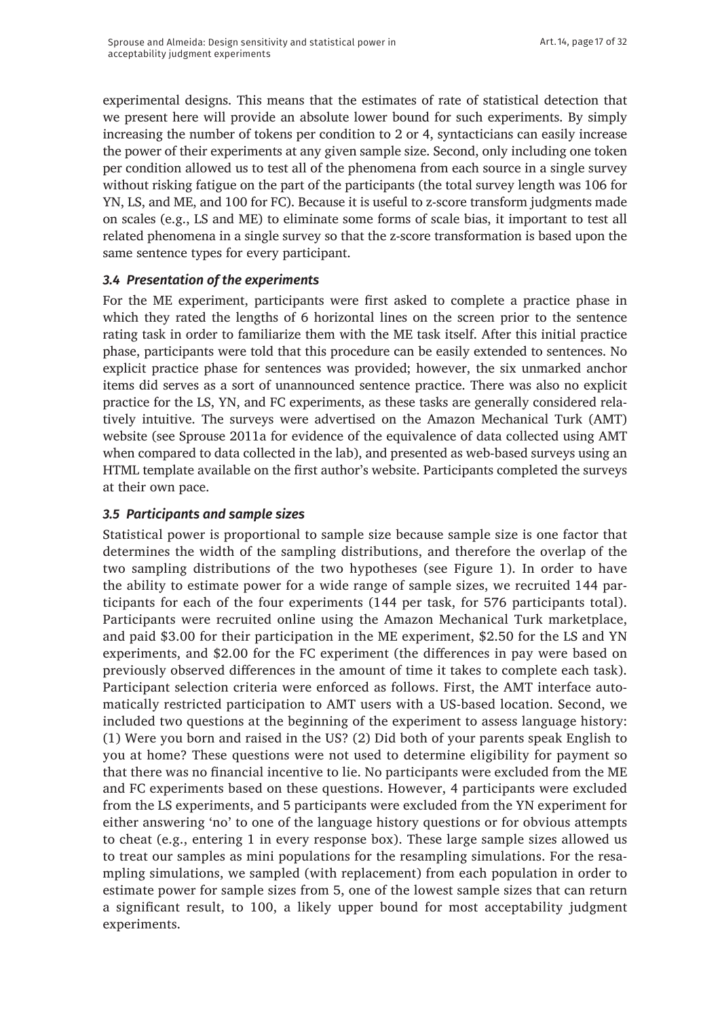experimental designs. This means that the estimates of rate of statistical detection that we present here will provide an absolute lower bound for such experiments. By simply increasing the number of tokens per condition to 2 or 4, syntacticians can easily increase the power of their experiments at any given sample size. Second, only including one token per condition allowed us to test all of the phenomena from each source in a single survey without risking fatigue on the part of the participants (the total survey length was 106 for YN, LS, and ME, and 100 for FC). Because it is useful to z-score transform judgments made on scales (e.g., LS and ME) to eliminate some forms of scale bias, it important to test all related phenomena in a single survey so that the z-score transformation is based upon the same sentence types for every participant.

## *3.4 Presentation of the experiments*

For the ME experiment, participants were first asked to complete a practice phase in which they rated the lengths of 6 horizontal lines on the screen prior to the sentence rating task in order to familiarize them with the ME task itself. After this initial practice phase, participants were told that this procedure can be easily extended to sentences. No explicit practice phase for sentences was provided; however, the six unmarked anchor items did serves as a sort of unannounced sentence practice. There was also no explicit practice for the LS, YN, and FC experiments, as these tasks are generally considered relatively intuitive. The surveys were advertised on the Amazon Mechanical Turk (AMT) website (see Sprouse 2011a for evidence of the equivalence of data collected using AMT when compared to data collected in the lab), and presented as web-based surveys using an HTML template available on the first author's website. Participants completed the surveys at their own pace.

## *3.5 Participants and sample sizes*

Statistical power is proportional to sample size because sample size is one factor that determines the width of the sampling distributions, and therefore the overlap of the two sampling distributions of the two hypotheses (see Figure 1). In order to have the ability to estimate power for a wide range of sample sizes, we recruited 144 participants for each of the four experiments (144 per task, for 576 participants total). Participants were recruited online using the Amazon Mechanical Turk marketplace, and paid \$3.00 for their participation in the ME experiment, \$2.50 for the LS and YN experiments, and \$2.00 for the FC experiment (the differences in pay were based on previously observed differences in the amount of time it takes to complete each task). Participant selection criteria were enforced as follows. First, the AMT interface automatically restricted participation to AMT users with a US-based location. Second, we included two questions at the beginning of the experiment to assess language history: (1) Were you born and raised in the US? (2) Did both of your parents speak English to you at home? These questions were not used to determine eligibility for payment so that there was no financial incentive to lie. No participants were excluded from the ME and FC experiments based on these questions. However, 4 participants were excluded from the LS experiments, and 5 participants were excluded from the YN experiment for either answering 'no' to one of the language history questions or for obvious attempts to cheat (e.g., entering 1 in every response box). These large sample sizes allowed us to treat our samples as mini populations for the resampling simulations. For the resampling simulations, we sampled (with replacement) from each population in order to estimate power for sample sizes from 5, one of the lowest sample sizes that can return a significant result, to 100, a likely upper bound for most acceptability judgment experiments.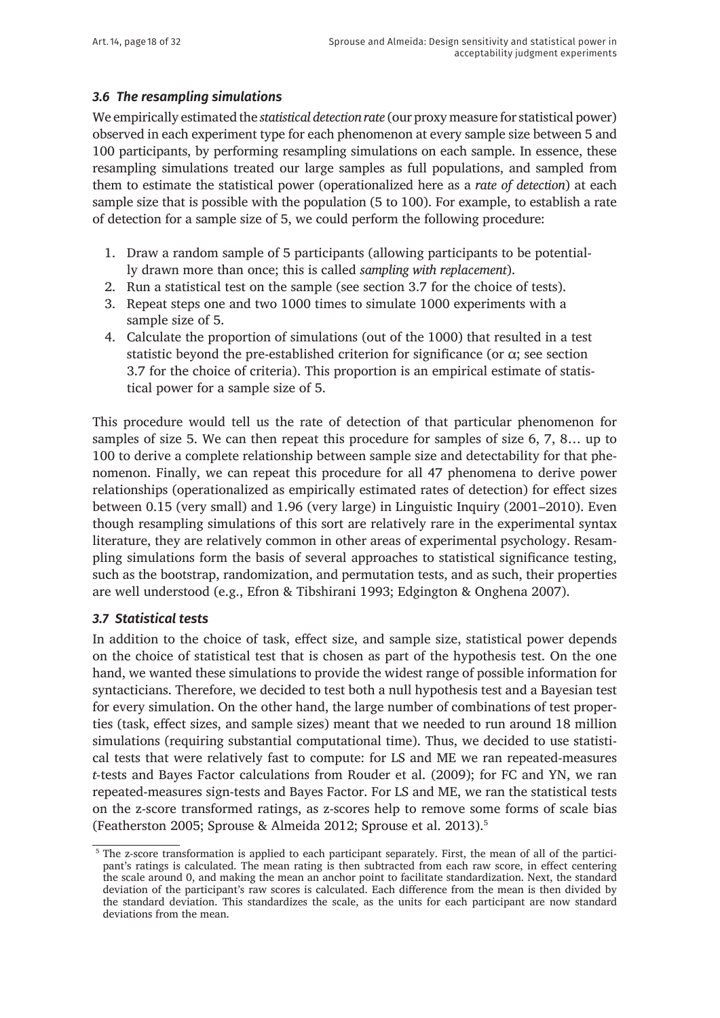## *3.6 The resampling simulations*

We empirically estimated the *statistical detection rate* (our proxy measure for statistical power) observed in each experiment type for each phenomenon at every sample size between 5 and 100 participants, by performing resampling simulations on each sample. In essence, these resampling simulations treated our large samples as full populations, and sampled from them to estimate the statistical power (operationalized here as a *rate of detection*) at each sample size that is possible with the population (5 to 100). For example, to establish a rate of detection for a sample size of 5, we could perform the following procedure:

- 1. Draw a random sample of 5 participants (allowing participants to be potentially drawn more than once; this is called *sampling with replacement*).
- 2. Run a statistical test on the sample (see section 3.7 for the choice of tests).
- 3. Repeat steps one and two 1000 times to simulate 1000 experiments with a sample size of 5.
- 4. Calculate the proportion of simulations (out of the 1000) that resulted in a test statistic beyond the pre-established criterion for significance (or  $\alpha$ ; see section 3.7 for the choice of criteria). This proportion is an empirical estimate of statistical power for a sample size of 5.

This procedure would tell us the rate of detection of that particular phenomenon for samples of size 5. We can then repeat this procedure for samples of size 6, 7, 8… up to 100 to derive a complete relationship between sample size and detectability for that phenomenon. Finally, we can repeat this procedure for all 47 phenomena to derive power relationships (operationalized as empirically estimated rates of detection) for effect sizes between 0.15 (very small) and 1.96 (very large) in Linguistic Inquiry (2001–2010). Even though resampling simulations of this sort are relatively rare in the experimental syntax literature, they are relatively common in other areas of experimental psychology. Resampling simulations form the basis of several approaches to statistical significance testing, such as the bootstrap, randomization, and permutation tests, and as such, their properties are well understood (e.g., Efron & Tibshirani 1993; Edgington & Onghena 2007).

#### *3.7 Statistical tests*

In addition to the choice of task, effect size, and sample size, statistical power depends on the choice of statistical test that is chosen as part of the hypothesis test. On the one hand, we wanted these simulations to provide the widest range of possible information for syntacticians. Therefore, we decided to test both a null hypothesis test and a Bayesian test for every simulation. On the other hand, the large number of combinations of test properties (task, effect sizes, and sample sizes) meant that we needed to run around 18 million simulations (requiring substantial computational time). Thus, we decided to use statistical tests that were relatively fast to compute: for LS and ME we ran repeated-measures *t*-tests and Bayes Factor calculations from Rouder et al. (2009); for FC and YN, we ran repeated-measures sign-tests and Bayes Factor. For LS and ME, we ran the statistical tests on the z-score transformed ratings, as z-scores help to remove some forms of scale bias (Featherston 2005; Sprouse & Almeida 2012; Sprouse et al. 2013).<sup>5</sup>

<sup>&</sup>lt;sup>5</sup> The z-score transformation is applied to each participant separately. First, the mean of all of the participant's ratings is calculated. The mean rating is then subtracted from each raw score, in effect centering the scale around 0, and making the mean an anchor point to facilitate standardization. Next, the standard deviation of the participant's raw scores is calculated. Each difference from the mean is then divided by the standard deviation. This standardizes the scale, as the units for each participant are now standard deviations from the mean.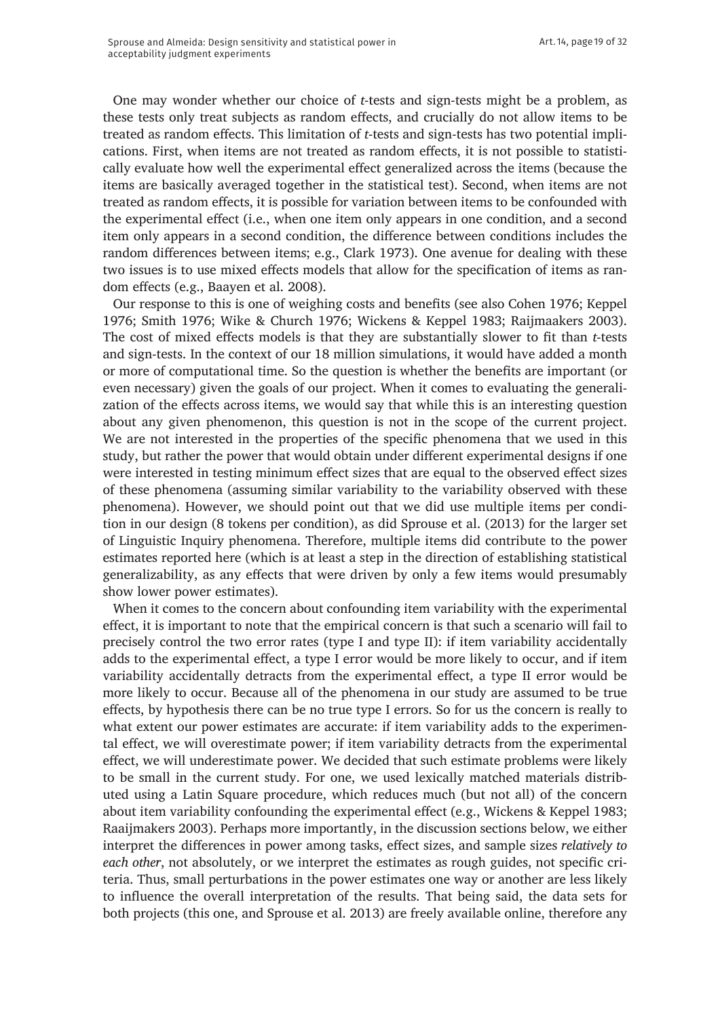One may wonder whether our choice of *t*-tests and sign-tests might be a problem, as these tests only treat subjects as random effects, and crucially do not allow items to be treated as random effects. This limitation of *t*-tests and sign-tests has two potential implications. First, when items are not treated as random effects, it is not possible to statistically evaluate how well the experimental effect generalized across the items (because the items are basically averaged together in the statistical test). Second, when items are not treated as random effects, it is possible for variation between items to be confounded with the experimental effect (i.e., when one item only appears in one condition, and a second item only appears in a second condition, the difference between conditions includes the random differences between items; e.g., Clark 1973). One avenue for dealing with these two issues is to use mixed effects models that allow for the specification of items as random effects (e.g., Baayen et al. 2008).

Our response to this is one of weighing costs and benefits (see also Cohen 1976; Keppel 1976; Smith 1976; Wike & Church 1976; Wickens & Keppel 1983; Raijmaakers 2003). The cost of mixed effects models is that they are substantially slower to fit than *t*-tests and sign-tests. In the context of our 18 million simulations, it would have added a month or more of computational time. So the question is whether the benefits are important (or even necessary) given the goals of our project. When it comes to evaluating the generalization of the effects across items, we would say that while this is an interesting question about any given phenomenon, this question is not in the scope of the current project. We are not interested in the properties of the specific phenomena that we used in this study, but rather the power that would obtain under different experimental designs if one were interested in testing minimum effect sizes that are equal to the observed effect sizes of these phenomena (assuming similar variability to the variability observed with these phenomena). However, we should point out that we did use multiple items per condition in our design (8 tokens per condition), as did Sprouse et al. (2013) for the larger set of Linguistic Inquiry phenomena. Therefore, multiple items did contribute to the power estimates reported here (which is at least a step in the direction of establishing statistical generalizability, as any effects that were driven by only a few items would presumably show lower power estimates).

When it comes to the concern about confounding item variability with the experimental effect, it is important to note that the empirical concern is that such a scenario will fail to precisely control the two error rates (type I and type II): if item variability accidentally adds to the experimental effect, a type I error would be more likely to occur, and if item variability accidentally detracts from the experimental effect, a type II error would be more likely to occur. Because all of the phenomena in our study are assumed to be true effects, by hypothesis there can be no true type I errors. So for us the concern is really to what extent our power estimates are accurate: if item variability adds to the experimental effect, we will overestimate power; if item variability detracts from the experimental effect, we will underestimate power. We decided that such estimate problems were likely to be small in the current study. For one, we used lexically matched materials distributed using a Latin Square procedure, which reduces much (but not all) of the concern about item variability confounding the experimental effect (e.g., Wickens & Keppel 1983; Raaijmakers 2003). Perhaps more importantly, in the discussion sections below, we either interpret the differences in power among tasks, effect sizes, and sample sizes *relatively to each other*, not absolutely, or we interpret the estimates as rough guides, not specific criteria. Thus, small perturbations in the power estimates one way or another are less likely to influence the overall interpretation of the results. That being said, the data sets for both projects (this one, and Sprouse et al. 2013) are freely available online, therefore any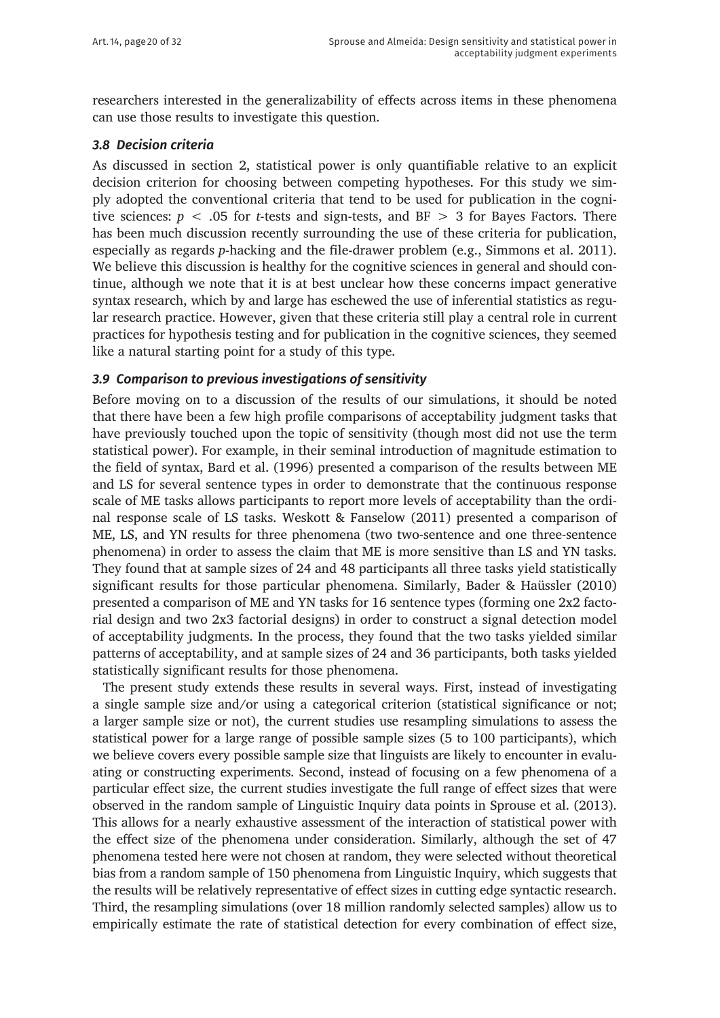researchers interested in the generalizability of effects across items in these phenomena can use those results to investigate this question.

#### *3.8 Decision criteria*

As discussed in section 2, statistical power is only quantifiable relative to an explicit decision criterion for choosing between competing hypotheses. For this study we simply adopted the conventional criteria that tend to be used for publication in the cognitive sciences:  $p < .05$  for *t*-tests and sign-tests, and BF  $> 3$  for Bayes Factors. There has been much discussion recently surrounding the use of these criteria for publication, especially as regards *p*-hacking and the file-drawer problem (e.g., Simmons et al. 2011). We believe this discussion is healthy for the cognitive sciences in general and should continue, although we note that it is at best unclear how these concerns impact generative syntax research, which by and large has eschewed the use of inferential statistics as regular research practice. However, given that these criteria still play a central role in current practices for hypothesis testing and for publication in the cognitive sciences, they seemed like a natural starting point for a study of this type.

#### *3.9 Comparison to previous investigations of sensitivity*

Before moving on to a discussion of the results of our simulations, it should be noted that there have been a few high profile comparisons of acceptability judgment tasks that have previously touched upon the topic of sensitivity (though most did not use the term statistical power). For example, in their seminal introduction of magnitude estimation to the field of syntax, Bard et al. (1996) presented a comparison of the results between ME and LS for several sentence types in order to demonstrate that the continuous response scale of ME tasks allows participants to report more levels of acceptability than the ordinal response scale of LS tasks. Weskott & Fanselow (2011) presented a comparison of ME, LS, and YN results for three phenomena (two two-sentence and one three-sentence phenomena) in order to assess the claim that ME is more sensitive than LS and YN tasks. They found that at sample sizes of 24 and 48 participants all three tasks yield statistically significant results for those particular phenomena. Similarly, Bader & Haüssler (2010) presented a comparison of ME and YN tasks for 16 sentence types (forming one 2x2 factorial design and two 2x3 factorial designs) in order to construct a signal detection model of acceptability judgments. In the process, they found that the two tasks yielded similar patterns of acceptability, and at sample sizes of 24 and 36 participants, both tasks yielded statistically significant results for those phenomena.

The present study extends these results in several ways. First, instead of investigating a single sample size and/or using a categorical criterion (statistical significance or not; a larger sample size or not), the current studies use resampling simulations to assess the statistical power for a large range of possible sample sizes (5 to 100 participants), which we believe covers every possible sample size that linguists are likely to encounter in evaluating or constructing experiments. Second, instead of focusing on a few phenomena of a particular effect size, the current studies investigate the full range of effect sizes that were observed in the random sample of Linguistic Inquiry data points in Sprouse et al. (2013). This allows for a nearly exhaustive assessment of the interaction of statistical power with the effect size of the phenomena under consideration. Similarly, although the set of 47 phenomena tested here were not chosen at random, they were selected without theoretical bias from a random sample of 150 phenomena from Linguistic Inquiry, which suggests that the results will be relatively representative of effect sizes in cutting edge syntactic research. Third, the resampling simulations (over 18 million randomly selected samples) allow us to empirically estimate the rate of statistical detection for every combination of effect size,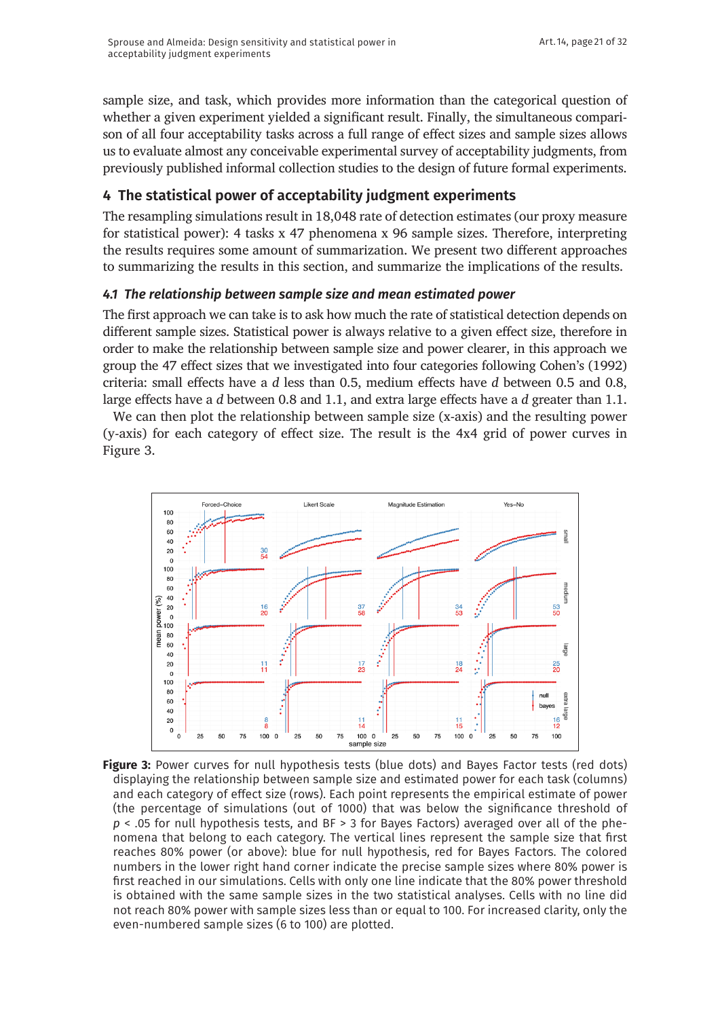sample size, and task, which provides more information than the categorical question of whether a given experiment yielded a significant result. Finally, the simultaneous comparison of all four acceptability tasks across a full range of effect sizes and sample sizes allows us to evaluate almost any conceivable experimental survey of acceptability judgments, from previously published informal collection studies to the design of future formal experiments.

## **4 The statistical power of acceptability judgment experiments**

The resampling simulations result in 18,048 rate of detection estimates (our proxy measure for statistical power): 4 tasks x 47 phenomena x 96 sample sizes. Therefore, interpreting the results requires some amount of summarization. We present two different approaches to summarizing the results in this section, and summarize the implications of the results.

## *4.1 The relationship between sample size and mean estimated power*

The first approach we can take is to ask how much the rate of statistical detection depends on different sample sizes. Statistical power is always relative to a given effect size, therefore in order to make the relationship between sample size and power clearer, in this approach we group the 47 effect sizes that we investigated into four categories following Cohen's (1992) criteria: small effects have a *d* less than 0.5, medium effects have *d* between 0.5 and 0.8, large effects have a *d* between 0.8 and 1.1, and extra large effects have a *d* greater than 1.1.

We can then plot the relationship between sample size (x-axis) and the resulting power (y-axis) for each category of effect size. The result is the 4x4 grid of power curves in Figure 3.



Figure 3: Power curves for null hypothesis tests (blue dots) and Bayes Factor tests (red dots) displaying the relationship between sample size and estimated power for each task (columns) and each category of effect size (rows). Each point represents the empirical estimate of power (the percentage of simulations (out of 1000) that was below the significance threshold of *p* < .05 for null hypothesis tests, and BF > 3 for Bayes Factors) averaged over all of the phenomena that belong to each category. The vertical lines represent the sample size that first reaches 80% power (or above): blue for null hypothesis, red for Bayes Factors. The colored numbers in the lower right hand corner indicate the precise sample sizes where 80% power is first reached in our simulations. Cells with only one line indicate that the 80% power threshold is obtained with the same sample sizes in the two statistical analyses. Cells with no line did not reach 80% power with sample sizes less than or equal to 100. For increased clarity, only the even-numbered sample sizes (6 to 100) are plotted.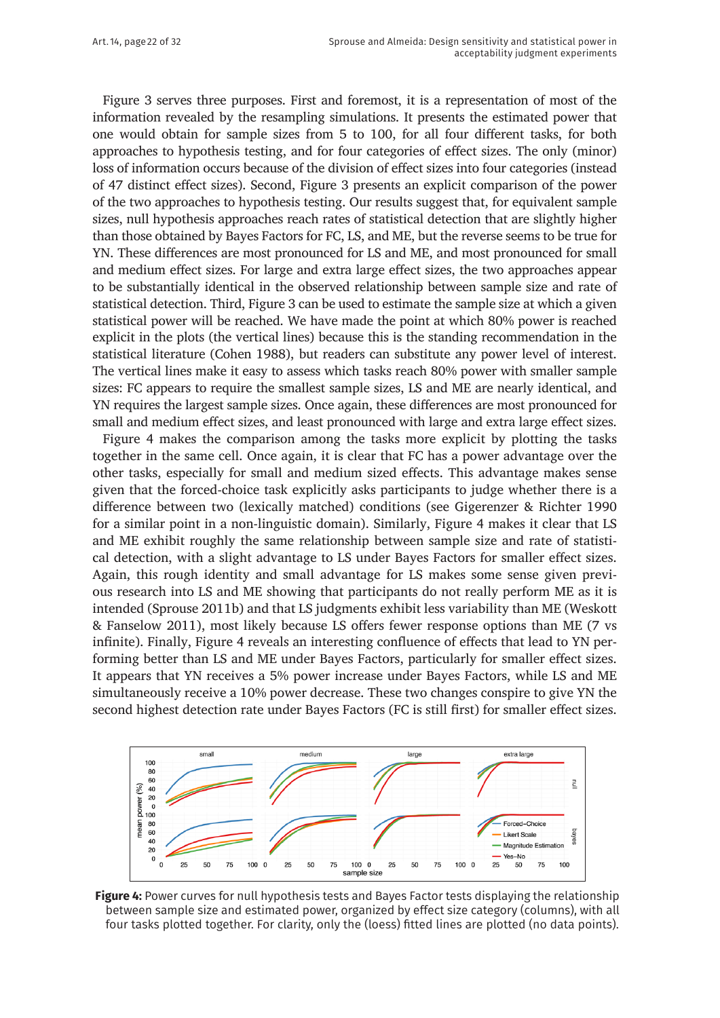Figure 3 serves three purposes. First and foremost, it is a representation of most of the information revealed by the resampling simulations. It presents the estimated power that one would obtain for sample sizes from 5 to 100, for all four different tasks, for both approaches to hypothesis testing, and for four categories of effect sizes. The only (minor) loss of information occurs because of the division of effect sizes into four categories (instead of 47 distinct effect sizes). Second, Figure 3 presents an explicit comparison of the power of the two approaches to hypothesis testing. Our results suggest that, for equivalent sample sizes, null hypothesis approaches reach rates of statistical detection that are slightly higher than those obtained by Bayes Factors for FC, LS, and ME, but the reverse seems to be true for YN. These differences are most pronounced for LS and ME, and most pronounced for small and medium effect sizes. For large and extra large effect sizes, the two approaches appear to be substantially identical in the observed relationship between sample size and rate of statistical detection. Third, Figure 3 can be used to estimate the sample size at which a given statistical power will be reached. We have made the point at which 80% power is reached explicit in the plots (the vertical lines) because this is the standing recommendation in the statistical literature (Cohen 1988), but readers can substitute any power level of interest. The vertical lines make it easy to assess which tasks reach 80% power with smaller sample sizes: FC appears to require the smallest sample sizes, LS and ME are nearly identical, and YN requires the largest sample sizes. Once again, these differences are most pronounced for small and medium effect sizes, and least pronounced with large and extra large effect sizes.

Figure 4 makes the comparison among the tasks more explicit by plotting the tasks together in the same cell. Once again, it is clear that FC has a power advantage over the other tasks, especially for small and medium sized effects. This advantage makes sense given that the forced-choice task explicitly asks participants to judge whether there is a difference between two (lexically matched) conditions (see Gigerenzer & Richter 1990 for a similar point in a non-linguistic domain). Similarly, Figure 4 makes it clear that LS and ME exhibit roughly the same relationship between sample size and rate of statistical detection, with a slight advantage to LS under Bayes Factors for smaller effect sizes. Again, this rough identity and small advantage for LS makes some sense given previous research into LS and ME showing that participants do not really perform ME as it is intended (Sprouse 2011b) and that LS judgments exhibit less variability than ME (Weskott & Fanselow 2011), most likely because LS offers fewer response options than ME (7 vs infinite). Finally, Figure 4 reveals an interesting confluence of effects that lead to YN performing better than LS and ME under Bayes Factors, particularly for smaller effect sizes. It appears that YN receives a 5% power increase under Bayes Factors, while LS and ME simultaneously receive a 10% power decrease. These two changes conspire to give YN the second highest detection rate under Bayes Factors (FC is still first) for smaller effect sizes.



**Figure 4:** Power curves for null hypothesis tests and Bayes Factor tests displaying the relationship between sample size and estimated power, organized by effect size category (columns), with all four tasks plotted together. For clarity, only the (loess) fitted lines are plotted (no data points).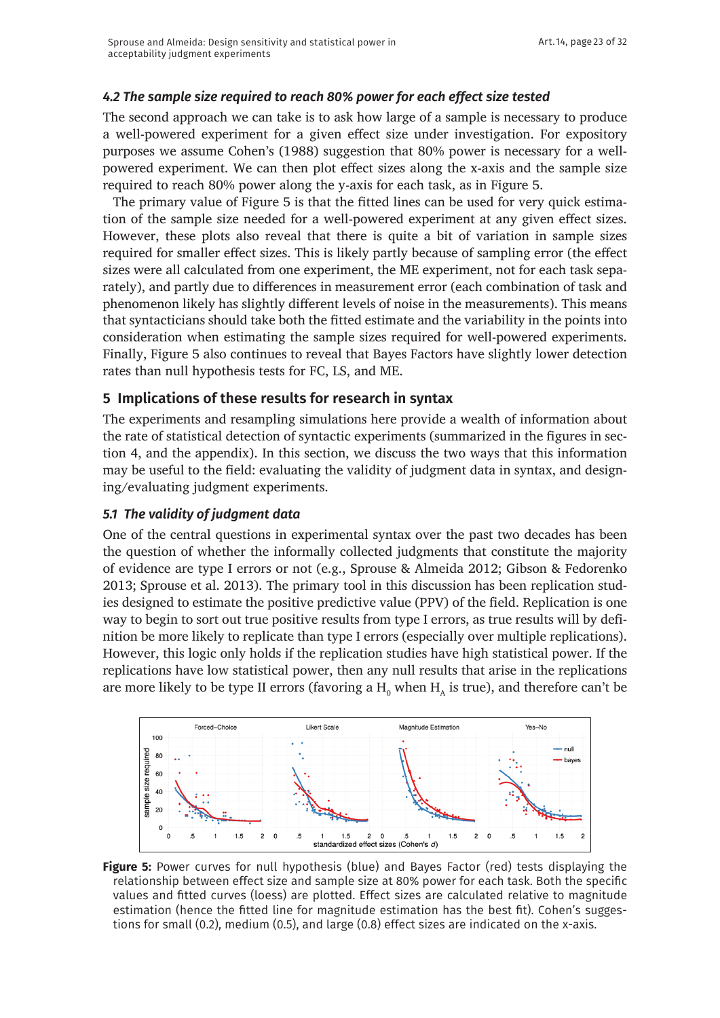## *4.2 The sample size required to reach 80% power for each effect size tested*

The second approach we can take is to ask how large of a sample is necessary to produce a well-powered experiment for a given effect size under investigation. For expository purposes we assume Cohen's (1988) suggestion that 80% power is necessary for a wellpowered experiment. We can then plot effect sizes along the x-axis and the sample size required to reach 80% power along the y-axis for each task, as in Figure 5.

The primary value of Figure 5 is that the fitted lines can be used for very quick estimation of the sample size needed for a well-powered experiment at any given effect sizes. However, these plots also reveal that there is quite a bit of variation in sample sizes required for smaller effect sizes. This is likely partly because of sampling error (the effect sizes were all calculated from one experiment, the ME experiment, not for each task separately), and partly due to differences in measurement error (each combination of task and phenomenon likely has slightly different levels of noise in the measurements). This means that syntacticians should take both the fitted estimate and the variability in the points into consideration when estimating the sample sizes required for well-powered experiments. Finally, Figure 5 also continues to reveal that Bayes Factors have slightly lower detection rates than null hypothesis tests for FC, LS, and ME.

## **5 Implications of these results for research in syntax**

The experiments and resampling simulations here provide a wealth of information about the rate of statistical detection of syntactic experiments (summarized in the figures in section 4, and the appendix). In this section, we discuss the two ways that this information may be useful to the field: evaluating the validity of judgment data in syntax, and designing/evaluating judgment experiments.

### *5.1 The validity of judgment data*

One of the central questions in experimental syntax over the past two decades has been the question of whether the informally collected judgments that constitute the majority of evidence are type I errors or not (e.g., Sprouse & Almeida 2012; Gibson & Fedorenko 2013; Sprouse et al. 2013). The primary tool in this discussion has been replication studies designed to estimate the positive predictive value (PPV) of the field. Replication is one way to begin to sort out true positive results from type I errors, as true results will by definition be more likely to replicate than type I errors (especially over multiple replications). However, this logic only holds if the replication studies have high statistical power. If the replications have low statistical power, then any null results that arise in the replications are more likely to be type II errors (favoring a  $\mathrm{H}_{_{0}}$  when  $\mathrm{H}_{_{A}}$  is true), and therefore can't be



**Figure 5:** Power curves for null hypothesis (blue) and Bayes Factor (red) tests displaying the relationship between effect size and sample size at 80% power for each task. Both the specific values and fitted curves (loess) are plotted. Effect sizes are calculated relative to magnitude estimation (hence the fitted line for magnitude estimation has the best fit). Cohen's suggestions for small (0.2), medium (0.5), and large (0.8) effect sizes are indicated on the x-axis.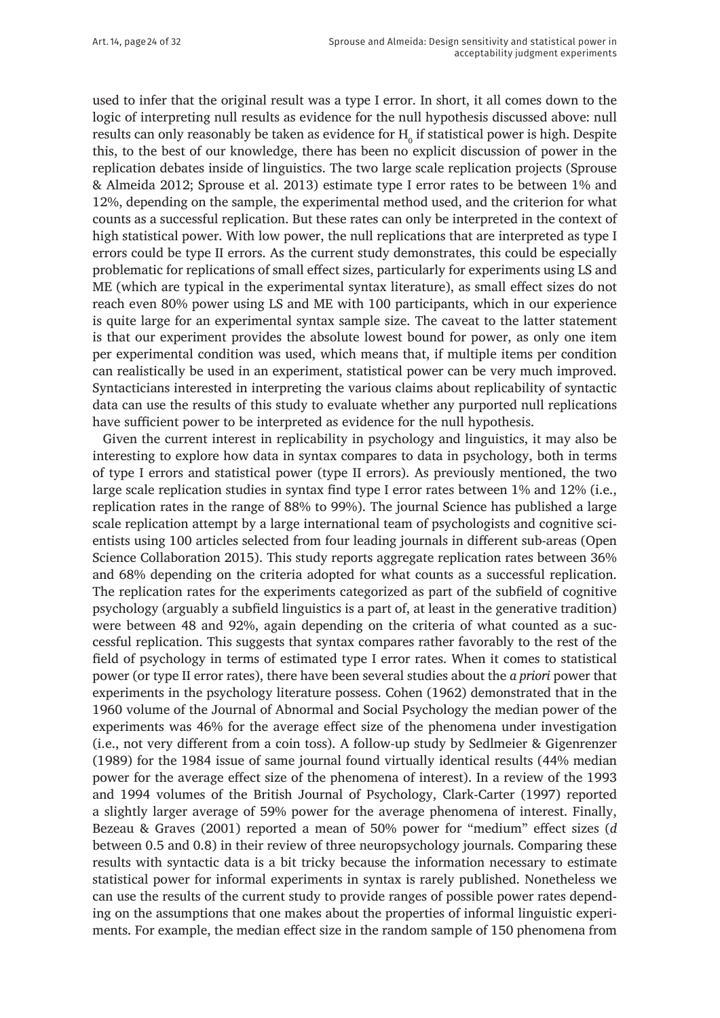used to infer that the original result was a type I error. In short, it all comes down to the logic of interpreting null results as evidence for the null hypothesis discussed above: null results can only reasonably be taken as evidence for  $\mathrm{H}_\mathrm{o}$  if statistical power is high. Despite this, to the best of our knowledge, there has been no explicit discussion of power in the replication debates inside of linguistics. The two large scale replication projects (Sprouse & Almeida 2012; Sprouse et al. 2013) estimate type I error rates to be between 1% and 12%, depending on the sample, the experimental method used, and the criterion for what counts as a successful replication. But these rates can only be interpreted in the context of high statistical power. With low power, the null replications that are interpreted as type I errors could be type II errors. As the current study demonstrates, this could be especially problematic for replications of small effect sizes, particularly for experiments using LS and ME (which are typical in the experimental syntax literature), as small effect sizes do not reach even 80% power using LS and ME with 100 participants, which in our experience is quite large for an experimental syntax sample size. The caveat to the latter statement is that our experiment provides the absolute lowest bound for power, as only one item per experimental condition was used, which means that, if multiple items per condition can realistically be used in an experiment, statistical power can be very much improved. Syntacticians interested in interpreting the various claims about replicability of syntactic data can use the results of this study to evaluate whether any purported null replications have sufficient power to be interpreted as evidence for the null hypothesis.

Given the current interest in replicability in psychology and linguistics, it may also be interesting to explore how data in syntax compares to data in psychology, both in terms of type I errors and statistical power (type II errors). As previously mentioned, the two large scale replication studies in syntax find type I error rates between 1% and 12% (i.e., replication rates in the range of 88% to 99%). The journal Science has published a large scale replication attempt by a large international team of psychologists and cognitive scientists using 100 articles selected from four leading journals in different sub-areas (Open Science Collaboration 2015). This study reports aggregate replication rates between 36% and 68% depending on the criteria adopted for what counts as a successful replication. The replication rates for the experiments categorized as part of the subfield of cognitive psychology (arguably a subfield linguistics is a part of, at least in the generative tradition) were between 48 and 92%, again depending on the criteria of what counted as a successful replication. This suggests that syntax compares rather favorably to the rest of the field of psychology in terms of estimated type I error rates. When it comes to statistical power (or type II error rates), there have been several studies about the *a priori* power that experiments in the psychology literature possess. Cohen (1962) demonstrated that in the 1960 volume of the Journal of Abnormal and Social Psychology the median power of the experiments was 46% for the average effect size of the phenomena under investigation (i.e., not very different from a coin toss). A follow-up study by Sedlmeier & Gigenrenzer (1989) for the 1984 issue of same journal found virtually identical results (44% median power for the average effect size of the phenomena of interest). In a review of the 1993 and 1994 volumes of the British Journal of Psychology, Clark-Carter (1997) reported a slightly larger average of 59% power for the average phenomena of interest. Finally, Bezeau & Graves (2001) reported a mean of 50% power for "medium" effect sizes (*d* between 0.5 and 0.8) in their review of three neuropsychology journals. Comparing these results with syntactic data is a bit tricky because the information necessary to estimate statistical power for informal experiments in syntax is rarely published. Nonetheless we can use the results of the current study to provide ranges of possible power rates depending on the assumptions that one makes about the properties of informal linguistic experiments. For example, the median effect size in the random sample of 150 phenomena from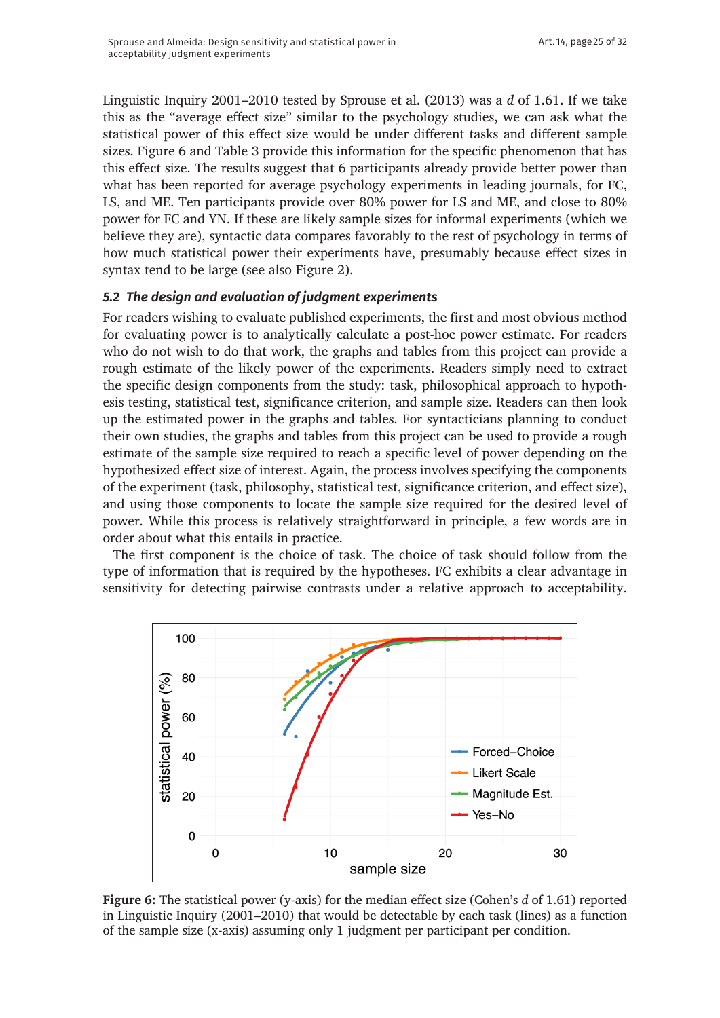Linguistic Inquiry 2001–2010 tested by Sprouse et al. (2013) was a *d* of 1.61. If we take this as the "average effect size" similar to the psychology studies, we can ask what the statistical power of this effect size would be under different tasks and different sample sizes. Figure 6 and Table 3 provide this information for the specific phenomenon that has this effect size. The results suggest that 6 participants already provide better power than what has been reported for average psychology experiments in leading journals, for FC, LS, and ME. Ten participants provide over 80% power for LS and ME, and close to 80% power for FC and YN. If these are likely sample sizes for informal experiments (which we believe they are), syntactic data compares favorably to the rest of psychology in terms of how much statistical power their experiments have, presumably because effect sizes in syntax tend to be large (see also Figure 2).

#### *5.2 The design and evaluation of judgment experiments*

For readers wishing to evaluate published experiments, the first and most obvious method for evaluating power is to analytically calculate a post-hoc power estimate. For readers who do not wish to do that work, the graphs and tables from this project can provide a rough estimate of the likely power of the experiments. Readers simply need to extract the specific design components from the study: task, philosophical approach to hypothesis testing, statistical test, significance criterion, and sample size. Readers can then look up the estimated power in the graphs and tables. For syntacticians planning to conduct their own studies, the graphs and tables from this project can be used to provide a rough estimate of the sample size required to reach a specific level of power depending on the hypothesized effect size of interest. Again, the process involves specifying the components of the experiment (task, philosophy, statistical test, significance criterion, and effect size), and using those components to locate the sample size required for the desired level of power. While this process is relatively straightforward in principle, a few words are in order about what this entails in practice.

The first component is the choice of task. The choice of task should follow from the type of information that is required by the hypotheses. FC exhibits a clear advantage in sensitivity for detecting pairwise contrasts under a relative approach to acceptability.



**Figure 6:** The statistical power (y-axis) for the median effect size (Cohen's *d* of 1.61) reported in Linguistic Inquiry (2001–2010) that would be detectable by each task (lines) as a function of the sample size (x-axis) assuming only 1 judgment per participant per condition.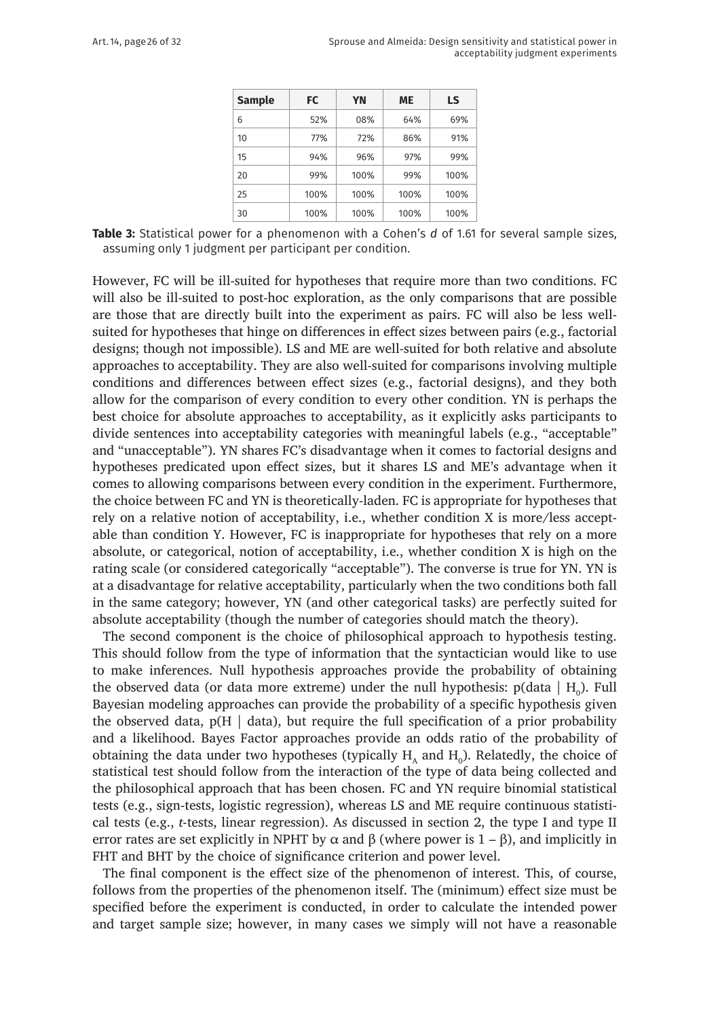| <b>Sample</b> | FC   | YN   | ME   | LS   |
|---------------|------|------|------|------|
| 6             | 52%  | 08%  | 64%  | 69%  |
| 10            | 77%  | 72%  | 86%  | 91%  |
| 15            | 94%  | 96%  | 97%  | 99%  |
| 20            | 99%  | 100% | 99%  | 100% |
| 25            | 100% | 100% | 100% | 100% |
| 30            | 100% | 100% | 100% | 100% |

**Table 3:** Statistical power for a phenomenon with a Cohen's *d* of 1.61 for several sample sizes, assuming only 1 judgment per participant per condition.

However, FC will be ill-suited for hypotheses that require more than two conditions. FC will also be ill-suited to post-hoc exploration, as the only comparisons that are possible are those that are directly built into the experiment as pairs. FC will also be less wellsuited for hypotheses that hinge on differences in effect sizes between pairs (e.g., factorial designs; though not impossible). LS and ME are well-suited for both relative and absolute approaches to acceptability. They are also well-suited for comparisons involving multiple conditions and differences between effect sizes (e.g., factorial designs), and they both allow for the comparison of every condition to every other condition. YN is perhaps the best choice for absolute approaches to acceptability, as it explicitly asks participants to divide sentences into acceptability categories with meaningful labels (e.g., "acceptable" and "unacceptable"). YN shares FC's disadvantage when it comes to factorial designs and hypotheses predicated upon effect sizes, but it shares LS and ME's advantage when it comes to allowing comparisons between every condition in the experiment. Furthermore, the choice between FC and YN is theoretically-laden. FC is appropriate for hypotheses that rely on a relative notion of acceptability, i.e., whether condition X is more/less acceptable than condition Y. However, FC is inappropriate for hypotheses that rely on a more absolute, or categorical, notion of acceptability, i.e., whether condition X is high on the rating scale (or considered categorically "acceptable"). The converse is true for YN. YN is at a disadvantage for relative acceptability, particularly when the two conditions both fall in the same category; however, YN (and other categorical tasks) are perfectly suited for absolute acceptability (though the number of categories should match the theory).

The second component is the choice of philosophical approach to hypothesis testing. This should follow from the type of information that the syntactician would like to use to make inferences. Null hypothesis approaches provide the probability of obtaining the observed data (or data more extreme) under the null hypothesis:  $p(data \mid H_0)$ . Full Bayesian modeling approaches can provide the probability of a specific hypothesis given the observed data,  $p(H | data)$ , but require the full specification of a prior probability and a likelihood. Bayes Factor approaches provide an odds ratio of the probability of obtaining the data under two hypotheses (typically  $H_A$  and  $H_0$ ). Relatedly, the choice of statistical test should follow from the interaction of the type of data being collected and the philosophical approach that has been chosen. FC and YN require binomial statistical tests (e.g., sign-tests, logistic regression), whereas LS and ME require continuous statistical tests (e.g., *t*-tests, linear regression). As discussed in section 2, the type I and type II error rates are set explicitly in NPHT by  $\alpha$  and  $\beta$  (where power is 1 –  $\beta$ ), and implicitly in FHT and BHT by the choice of significance criterion and power level.

The final component is the effect size of the phenomenon of interest. This, of course, follows from the properties of the phenomenon itself. The (minimum) effect size must be specified before the experiment is conducted, in order to calculate the intended power and target sample size; however, in many cases we simply will not have a reasonable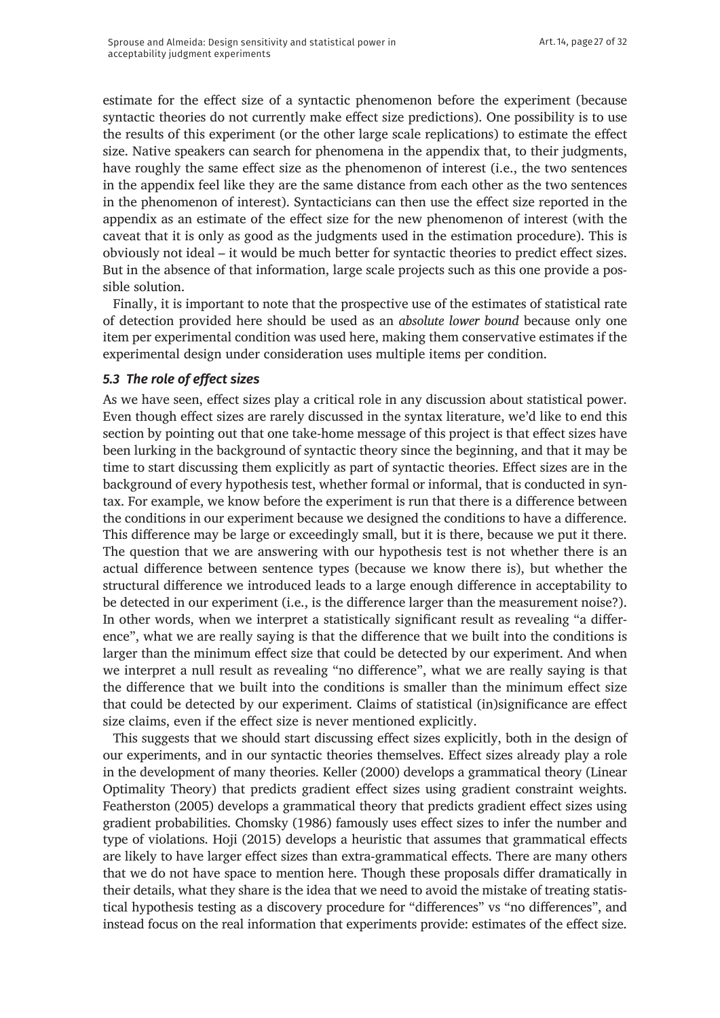estimate for the effect size of a syntactic phenomenon before the experiment (because syntactic theories do not currently make effect size predictions). One possibility is to use the results of this experiment (or the other large scale replications) to estimate the effect size. Native speakers can search for phenomena in the appendix that, to their judgments, have roughly the same effect size as the phenomenon of interest (i.e., the two sentences in the appendix feel like they are the same distance from each other as the two sentences in the phenomenon of interest). Syntacticians can then use the effect size reported in the appendix as an estimate of the effect size for the new phenomenon of interest (with the caveat that it is only as good as the judgments used in the estimation procedure). This is obviously not ideal – it would be much better for syntactic theories to predict effect sizes. But in the absence of that information, large scale projects such as this one provide a possible solution.

Finally, it is important to note that the prospective use of the estimates of statistical rate of detection provided here should be used as an *absolute lower bound* because only one item per experimental condition was used here, making them conservative estimates if the experimental design under consideration uses multiple items per condition.

#### *5.3 The role of effect sizes*

As we have seen, effect sizes play a critical role in any discussion about statistical power. Even though effect sizes are rarely discussed in the syntax literature, we'd like to end this section by pointing out that one take-home message of this project is that effect sizes have been lurking in the background of syntactic theory since the beginning, and that it may be time to start discussing them explicitly as part of syntactic theories. Effect sizes are in the background of every hypothesis test, whether formal or informal, that is conducted in syntax. For example, we know before the experiment is run that there is a difference between the conditions in our experiment because we designed the conditions to have a difference. This difference may be large or exceedingly small, but it is there, because we put it there. The question that we are answering with our hypothesis test is not whether there is an actual difference between sentence types (because we know there is), but whether the structural difference we introduced leads to a large enough difference in acceptability to be detected in our experiment (i.e., is the difference larger than the measurement noise?). In other words, when we interpret a statistically significant result as revealing "a difference", what we are really saying is that the difference that we built into the conditions is larger than the minimum effect size that could be detected by our experiment. And when we interpret a null result as revealing "no difference", what we are really saying is that the difference that we built into the conditions is smaller than the minimum effect size that could be detected by our experiment. Claims of statistical (in)significance are effect size claims, even if the effect size is never mentioned explicitly.

This suggests that we should start discussing effect sizes explicitly, both in the design of our experiments, and in our syntactic theories themselves. Effect sizes already play a role in the development of many theories. Keller (2000) develops a grammatical theory (Linear Optimality Theory) that predicts gradient effect sizes using gradient constraint weights. Featherston (2005) develops a grammatical theory that predicts gradient effect sizes using gradient probabilities. Chomsky (1986) famously uses effect sizes to infer the number and type of violations. Hoji (2015) develops a heuristic that assumes that grammatical effects are likely to have larger effect sizes than extra-grammatical effects. There are many others that we do not have space to mention here. Though these proposals differ dramatically in their details, what they share is the idea that we need to avoid the mistake of treating statistical hypothesis testing as a discovery procedure for "differences" vs "no differences", and instead focus on the real information that experiments provide: estimates of the effect size.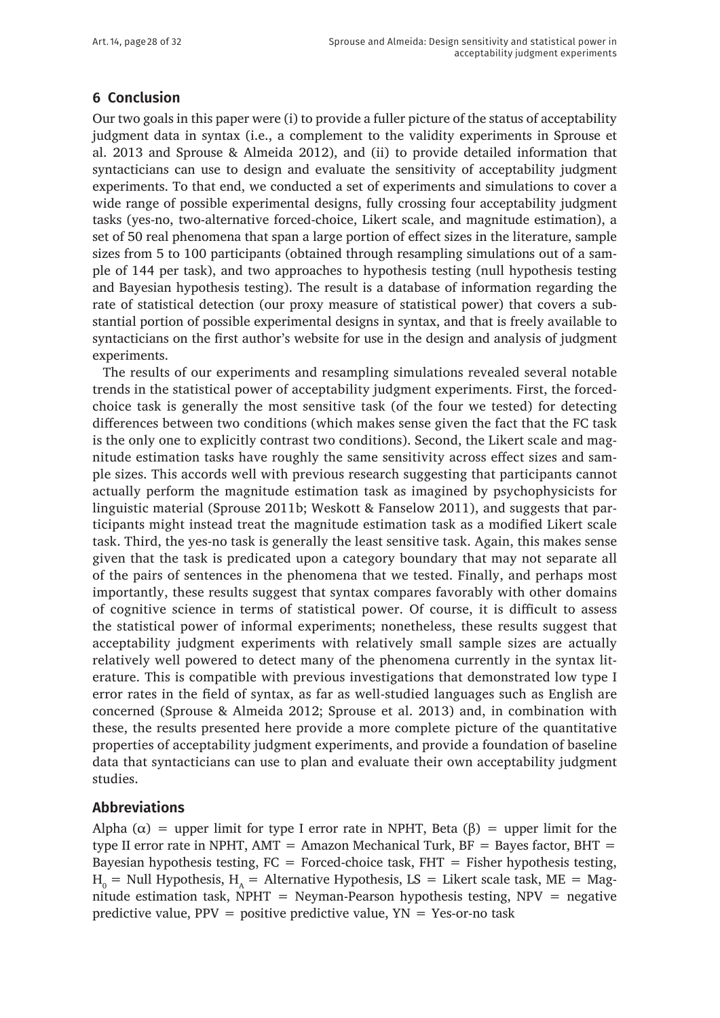# **6 Conclusion**

Our two goals in this paper were (i) to provide a fuller picture of the status of acceptability judgment data in syntax (i.e., a complement to the validity experiments in Sprouse et al. 2013 and Sprouse & Almeida 2012), and (ii) to provide detailed information that syntacticians can use to design and evaluate the sensitivity of acceptability judgment experiments. To that end, we conducted a set of experiments and simulations to cover a wide range of possible experimental designs, fully crossing four acceptability judgment tasks (yes-no, two-alternative forced-choice, Likert scale, and magnitude estimation), a set of 50 real phenomena that span a large portion of effect sizes in the literature, sample sizes from 5 to 100 participants (obtained through resampling simulations out of a sample of 144 per task), and two approaches to hypothesis testing (null hypothesis testing and Bayesian hypothesis testing). The result is a database of information regarding the rate of statistical detection (our proxy measure of statistical power) that covers a substantial portion of possible experimental designs in syntax, and that is freely available to syntacticians on the first author's website for use in the design and analysis of judgment experiments.

The results of our experiments and resampling simulations revealed several notable trends in the statistical power of acceptability judgment experiments. First, the forcedchoice task is generally the most sensitive task (of the four we tested) for detecting differences between two conditions (which makes sense given the fact that the FC task is the only one to explicitly contrast two conditions). Second, the Likert scale and magnitude estimation tasks have roughly the same sensitivity across effect sizes and sample sizes. This accords well with previous research suggesting that participants cannot actually perform the magnitude estimation task as imagined by psychophysicists for linguistic material (Sprouse 2011b; Weskott & Fanselow 2011), and suggests that participants might instead treat the magnitude estimation task as a modified Likert scale task. Third, the yes-no task is generally the least sensitive task. Again, this makes sense given that the task is predicated upon a category boundary that may not separate all of the pairs of sentences in the phenomena that we tested. Finally, and perhaps most importantly, these results suggest that syntax compares favorably with other domains of cognitive science in terms of statistical power. Of course, it is difficult to assess the statistical power of informal experiments; nonetheless, these results suggest that acceptability judgment experiments with relatively small sample sizes are actually relatively well powered to detect many of the phenomena currently in the syntax literature. This is compatible with previous investigations that demonstrated low type I error rates in the field of syntax, as far as well-studied languages such as English are concerned (Sprouse & Almeida 2012; Sprouse et al. 2013) and, in combination with these, the results presented here provide a more complete picture of the quantitative properties of acceptability judgment experiments, and provide a foundation of baseline data that syntacticians can use to plan and evaluate their own acceptability judgment studies.

#### **Abbreviations**

Alpha ( $\alpha$ ) = upper limit for type I error rate in NPHT, Beta ( $\beta$ ) = upper limit for the type II error rate in NPHT, AMT = Amazon Mechanical Turk,  $BF = Bayes$  factor, BHT = Bayesian hypothesis testing,  $FC = Forced$ -choice task,  $FHT = Fisher$  hypothesis testing,  $H_0$  = Null Hypothesis, H<sub>A</sub> = Alternative Hypothesis, LS = Likert scale task, ME = Magnitude estimation task,  $N$ PHT = Neyman-Pearson hypothesis testing,  $N$ PV = negative predictive value,  $PPV = positive$  predictive value,  $YN = Yes$ -or-no task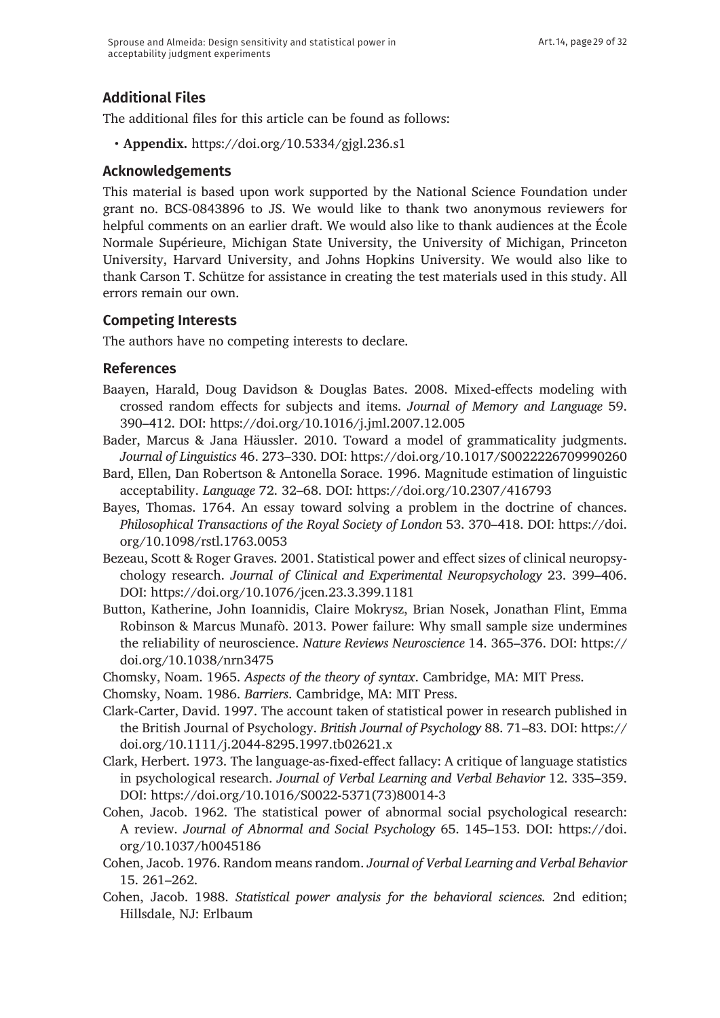# **Additional Files**

The additional files for this article can be found as follows:

• **Appendix.** <https://doi.org/10.5334/gjgl.236.s1>

### **Acknowledgements**

This material is based upon work supported by the National Science Foundation under grant no. BCS-0843896 to JS. We would like to thank two anonymous reviewers for helpful comments on an earlier draft. We would also like to thank audiences at the École Normale Supérieure, Michigan State University, the University of Michigan, Princeton University, Harvard University, and Johns Hopkins University. We would also like to thank Carson T. Schütze for assistance in creating the test materials used in this study. All errors remain our own.

## **Competing Interests**

The authors have no competing interests to declare.

## **References**

- Baayen, Harald, Doug Davidson & Douglas Bates. 2008. Mixed-effects modeling with crossed random effects for subjects and items. *Journal of Memory and Language* 59. 390–412. DOI: <https://doi.org/10.1016/j.jml.2007.12.005>
- Bader, Marcus & Jana Häussler. 2010. Toward a model of grammaticality judgments. *Journal of Linguistics* 46. 273–330. DOI:<https://doi.org/10.1017/S0022226709990260>
- Bard, Ellen, Dan Robertson & Antonella Sorace. 1996. Magnitude estimation of linguistic acceptability. *Language* 72. 32–68. DOI:<https://doi.org/10.2307/416793>
- Bayes, Thomas. 1764. An essay toward solving a problem in the doctrine of chances. *Philosophical Transactions of the Royal Society of London* 53. 370–418. DOI: [https://doi.](https://doi.org/10.1098/rstl.1763.0053) [org/10.1098/rstl.1763.0053](https://doi.org/10.1098/rstl.1763.0053)
- Bezeau, Scott & Roger Graves. 2001. Statistical power and effect sizes of clinical neuropsychology research. *Journal of Clinical and Experimental Neuropsychology* 23. 399–406. DOI: <https://doi.org/10.1076/jcen.23.3.399.1181>
- Button, Katherine, John Ioannidis, Claire Mokrysz, Brian Nosek, Jonathan Flint, Emma Robinson & Marcus Munafò. 2013. Power failure: Why small sample size undermines the reliability of neuroscience. *Nature Reviews Neuroscience* 14. 365–376. DOI: [https://](https://doi.org/10.1038/nrn3475) [doi.org/10.1038/nrn3475](https://doi.org/10.1038/nrn3475)
- Chomsky, Noam. 1965. *Aspects of the theory of syntax*. Cambridge, MA: MIT Press.
- Chomsky, Noam. 1986. *Barriers*. Cambridge, MA: MIT Press.
- Clark-Carter, David. 1997. The account taken of statistical power in research published in the British Journal of Psychology. *British Journal of Psychology* 88. 71–83. DOI: [https://](https://doi.org/10.1111/j.2044-8295.1997.tb02621.x) [doi.org/10.1111/j.2044-8295.1997.tb02621.x](https://doi.org/10.1111/j.2044-8295.1997.tb02621.x)
- Clark, Herbert. 1973. The language-as-fixed-effect fallacy: A critique of language statistics in psychological research. *Journal of Verbal Learning and Verbal Behavior* 12. 335–359. DOI: [https://doi.org/10.1016/S0022-5371\(73\)80014-3](https://doi.org/10.1016/S0022-5371(73)80014-3)
- Cohen, Jacob. 1962. The statistical power of abnormal social psychological research: A review. *Journal of Abnormal and Social Psychology* 65. 145–153. DOI: [https://doi.](https://doi.org/10.1037/h0045186) [org/10.1037/h0045186](https://doi.org/10.1037/h0045186)
- Cohen, Jacob. 1976. Random means random. *Journal of Verbal Learning and Verbal Behavior*  15. 261–262.
- Cohen, Jacob. 1988. *Statistical power analysis for the behavioral sciences.* 2nd edition; Hillsdale, NJ: Erlbaum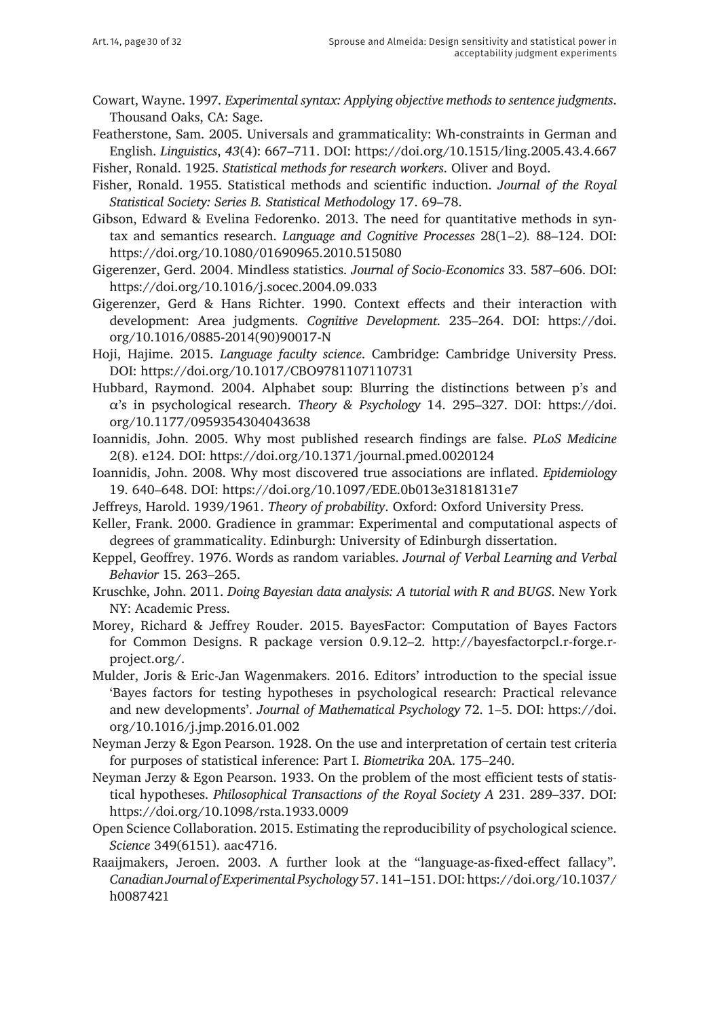- Cowart, Wayne. 1997*. Experimental syntax: Applying objective methods to sentence judgments*. Thousand Oaks, CA: Sage.
- Featherstone, Sam. 2005. Universals and grammaticality: Wh-constraints in German and English. *Linguistics*, *43*(4): 667–711. DOI: <https://doi.org/10.1515/ling.2005.43.4.667>

Fisher, Ronald. 1925. *Statistical methods for research workers*. Oliver and Boyd.

Fisher, Ronald. 1955. Statistical methods and scientific induction. *Journal of the Royal Statistical Society: Series B. Statistical Methodology* 17. 69–78.

Gibson, Edward & Evelina Fedorenko. 2013. The need for quantitative methods in syntax and semantics research. *Language and Cognitive Processes* 28(1–2)*.* 88–124. DOI: <https://doi.org/10.1080/01690965.2010.515080>

- Gigerenzer, Gerd. 2004. Mindless statistics. *Journal of Socio-Economics* 33. 587–606. DOI: <https://doi.org/10.1016/j.socec.2004.09.033>
- Gigerenzer, Gerd & Hans Richter. 1990. Context effects and their interaction with development: Area judgments. *Cognitive Development*. 235–264. DOI: [https://doi.](https://doi.org/10.1016/0885-2014(90)90017-N) [org/10.1016/0885-2014\(90\)90017-N](https://doi.org/10.1016/0885-2014(90)90017-N)

Hoji, Hajime. 2015. *Language faculty science*. Cambridge: Cambridge University Press. DOI:<https://doi.org/10.1017/CBO9781107110731>

- Hubbard, Raymond. 2004. Alphabet soup: Blurring the distinctions between p's and α's in psychological research. *Theory & Psychology* 14. 295–327. DOI: [https://doi.](https://doi.org/10.1177/0959354304043638) [org/10.1177/0959354304043638](https://doi.org/10.1177/0959354304043638)
- Ioannidis, John. 2005. Why most published research findings are false. *PLoS Medicine*  2(8). e124.
 DOI: <https://doi.org/10.1371/journal.pmed.0020124>
- Ioannidis, John. 2008. Why most discovered true associations are inflated. *Epidemiology*  19. 640–648. 
DOI: <https://doi.org/10.1097/EDE.0b013e31818131e7>
- Jeffreys, Harold. 1939/1961. *Theory of probability*. Oxford: Oxford University Press.
- Keller, Frank. 2000. Gradience in grammar: Experimental and computational aspects of degrees of grammaticality. Edinburgh: University of Edinburgh dissertation.
- Keppel, Geoffrey. 1976. Words as random variables. *Journal of Verbal Learning and Verbal Behavior* 15. 263–265.
- Kruschke, John. 2011. *Doing Bayesian data analysis: A tutorial with R and BUGS*. New York NY: Academic Press.
- Morey, Richard & Jeffrey Rouder. 2015. BayesFactor: Computation of Bayes Factors for Common Designs. R package version 0.9.12–2. [http://bayesfactorpcl.r-forge.r](http://bayesfactorpcl.r-forge.r-project.org/)[project.org/.](http://bayesfactorpcl.r-forge.r-project.org/)
- Mulder, Joris & Eric-Jan Wagenmakers. 2016. Editors' introduction to the special issue 'Bayes factors for testing hypotheses in psychological research: Practical relevance and new developments'. *Journal of Mathematical Psychology* 72. 1–5. DOI: [https://doi.](https://doi.org/10.1016/j.jmp.2016.01.002) [org/10.1016/j.jmp.2016.01.002](https://doi.org/10.1016/j.jmp.2016.01.002)
- Neyman Jerzy & Egon Pearson. 1928. On the use and interpretation of certain test criteria for purposes of statistical inference: Part I. *Biometrika* 20A. 175–240.
- Neyman Jerzy & Egon Pearson. 1933. On the problem of the most efficient tests of statistical hypotheses. *Philosophical Transactions of the Royal Society A* 231. 289–337. DOI: <https://doi.org/10.1098/rsta.1933.0009>
- Open Science Collaboration. 2015. Estimating the reproducibility of psychological science. *Science* 349(6151). aac4716.
- Raaijmakers, Jeroen. 2003. A further look at the "language-as-fixed-effect fallacy"*. Canadian Journal of Experimental Psychology* 57. 141–151. DOI: [https://doi.org/10.1037/](https://doi.org/10.1037/h0087421) [h0087421](https://doi.org/10.1037/h0087421)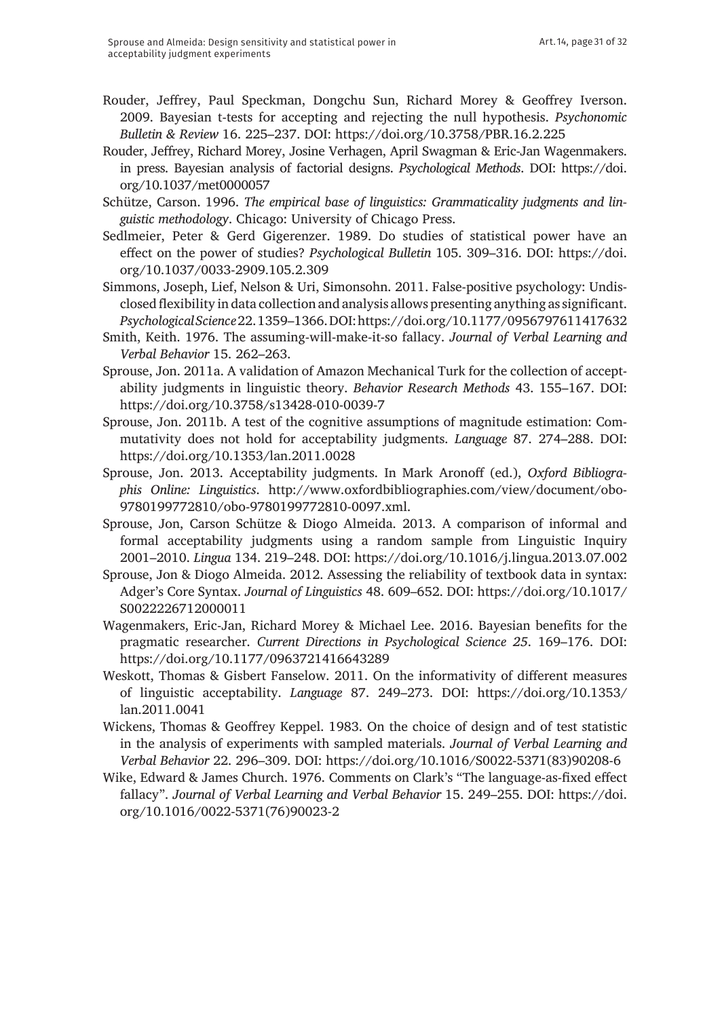- Rouder, Jeffrey, Paul Speckman, Dongchu Sun, Richard Morey & Geoffrey Iverson. 2009. Bayesian t-tests for accepting and rejecting the null hypothesis. *Psychonomic Bulletin & Review* 16. 225–237. DOI: <https://doi.org/10.3758/PBR.16.2.225>
- Rouder, Jeffrey, Richard Morey, Josine Verhagen, April Swagman & Eric-Jan Wagenmakers. in press. Bayesian analysis of factorial designs. *Psychological Methods*. DOI: [https://doi.](https://doi.org/10.1037/met0000057) [org/10.1037/met0000057](https://doi.org/10.1037/met0000057)
- Schütze, Carson. 1996. *The empirical base of linguistics: Grammaticality judgments and linguistic methodology*. Chicago: University of Chicago Press.
- Sedlmeier, Peter & Gerd Gigerenzer. 1989. Do studies of statistical power have an effect on the power of studies? *Psychological Bulletin* 105. 309–316. DOI: [https://doi.](https://doi.org/10.1037/0033-2909.105.2.309) [org/10.1037/0033-2909.105.2.309](https://doi.org/10.1037/0033-2909.105.2.309)
- Simmons, Joseph, Lief, Nelson & Uri, Simonsohn. 2011. False-positive psychology: Undisclosed flexibility in data collection and analysis allows presenting anything as significant. *Psychological Science* 22. 1359–1366. DOI:<https://doi.org/10.1177/0956797611417632>
- Smith, Keith. 1976. The assuming-will-make-it-so fallacy. *Journal of Verbal Learning and Verbal Behavior* 15. 262–263.
- Sprouse, Jon. 2011a. A validation of Amazon Mechanical Turk for the collection of acceptability judgments in linguistic theory. *Behavior Research Methods* 43. 155–167. DOI: <https://doi.org/10.3758/s13428-010-0039-7>
- Sprouse, Jon. 2011b. A test of the cognitive assumptions of magnitude estimation: Commutativity does not hold for acceptability judgments. *Language* 87. 274–288. DOI: <https://doi.org/10.1353/lan.2011.0028>
- Sprouse, Jon. 2013. Acceptability judgments. In Mark Aronoff (ed.), *Oxford Bibliographis Online: Linguistics*. [http://www.oxfordbibliographies.com/view/document/obo-](http://www.oxfordbibliographies.com/view/document/obo-9780199772810/obo-9780199772810-0097.xml)[9780199772810/obo-9780199772810-0097.xml.](http://www.oxfordbibliographies.com/view/document/obo-9780199772810/obo-9780199772810-0097.xml)
- Sprouse, Jon, Carson Schütze & Diogo Almeida. 2013. A comparison of informal and formal acceptability judgments using a random sample from Linguistic Inquiry 2001–2010. *Lingua* 134. 219–248. DOI: <https://doi.org/10.1016/j.lingua.2013.07.002>
- Sprouse, Jon & Diogo Almeida. 2012. Assessing the reliability of textbook data in syntax: Adger's Core Syntax. *Journal of Linguistics* 48. 609–652. DOI: [https://doi.org/10.1017/](https://doi.org/10.1017/S0022226712000011) [S0022226712000011](https://doi.org/10.1017/S0022226712000011)
- Wagenmakers, Eric-Jan, Richard Morey & Michael Lee. 2016. Bayesian benefits for the pragmatic researcher. *Current Directions in Psychological Science 25*. 169–176. DOI: <https://doi.org/10.1177/0963721416643289>
- Weskott, Thomas & Gisbert Fanselow. 2011. On the informativity of different measures of linguistic acceptability. *Language* 87. 249–273. DOI: [https://doi.org/10.1353/](https://doi.org/10.1353/lan.2011.0041) [lan.2011.0041](https://doi.org/10.1353/lan.2011.0041)
- Wickens, Thomas & Geoffrey Keppel. 1983. On the choice of design and of test statistic in the analysis of experiments with sampled materials. *Journal of Verbal Learning and Verbal Behavior* 22. 296–309. DOI: [https://doi.org/10.1016/S0022-5371\(83\)90208-6](https://doi.org/10.1016/S0022-5371(83)90208-6)
- Wike, Edward & James Church. 1976. Comments on Clark's "The language-as-fixed effect fallacy". *Journal of Verbal Learning and Verbal Behavior* 15. 249–255. DOI: [https://doi.](https://doi.org/10.1016/0022-5371(76)90023-2) [org/10.1016/0022-5371\(76\)90023-2](https://doi.org/10.1016/0022-5371(76)90023-2)